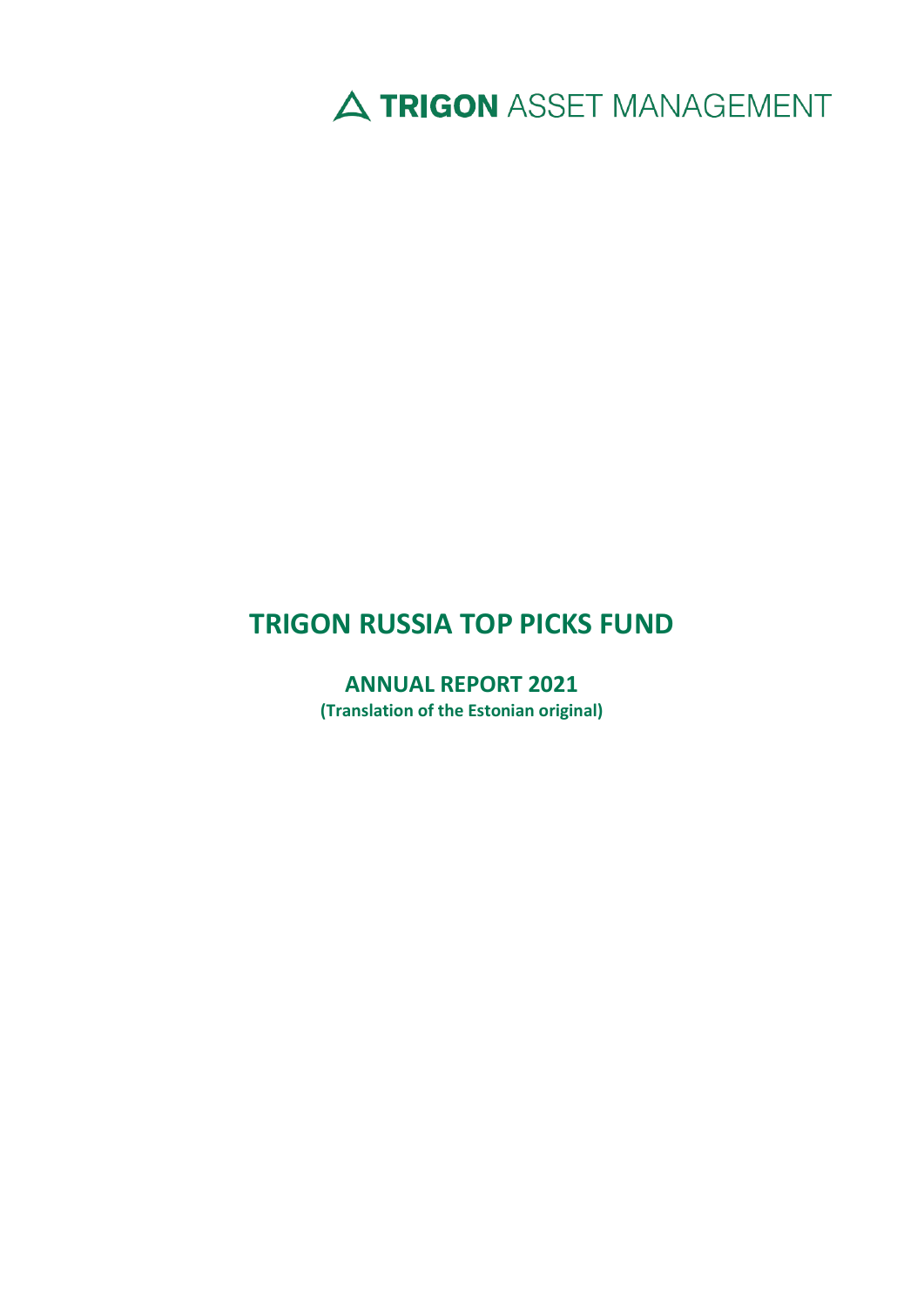A TRIGON ASSET MANAGEMENT

# **TRIGON RUSSIA TOP PICKS FUND**

**ANNUAL REPORT 2021 (Translation of the Estonian original)**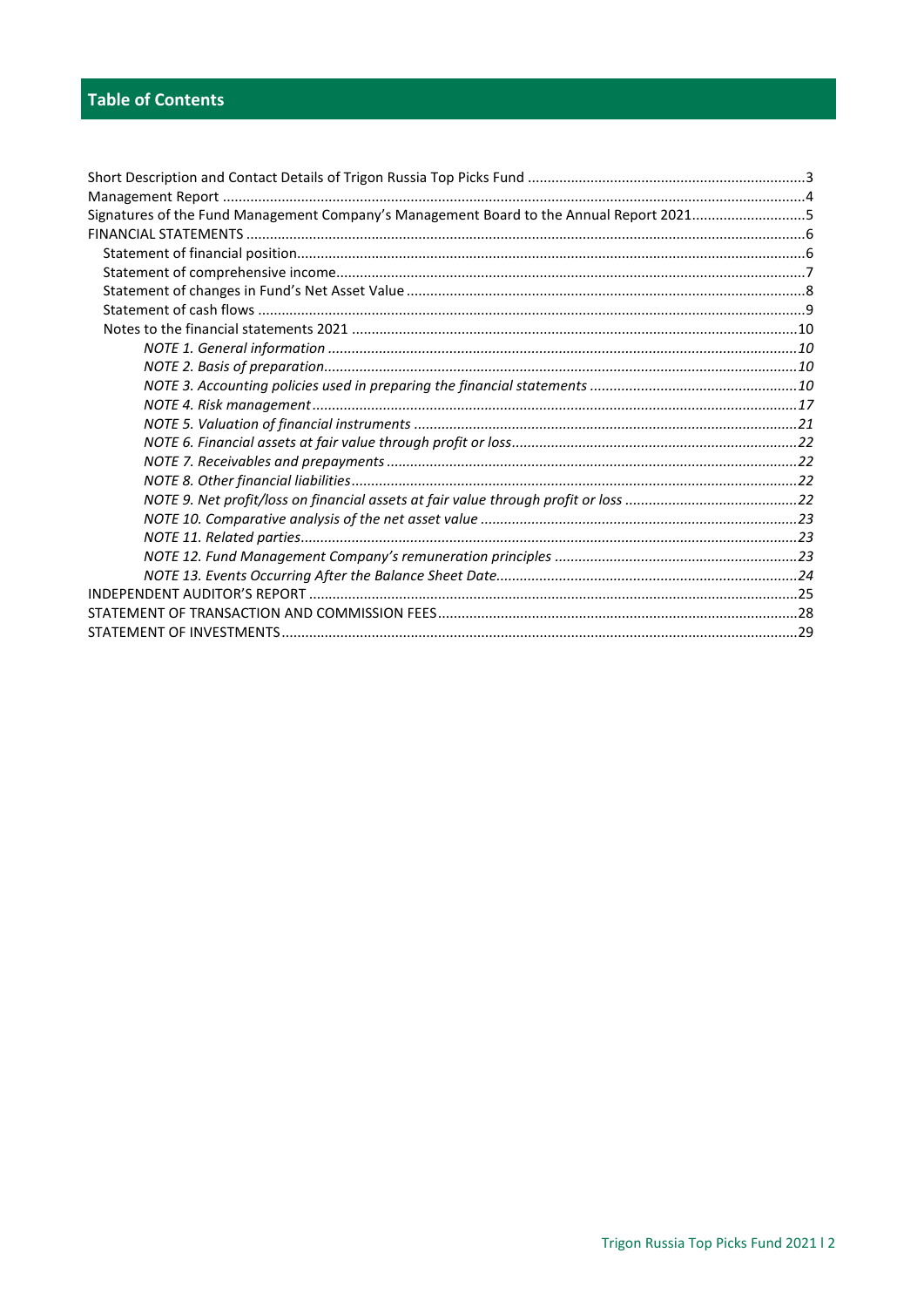| Signatures of the Fund Management Company's Management Board to the Annual Report 20215 |
|-----------------------------------------------------------------------------------------|
|                                                                                         |
|                                                                                         |
|                                                                                         |
|                                                                                         |
|                                                                                         |
|                                                                                         |
|                                                                                         |
|                                                                                         |
|                                                                                         |
|                                                                                         |
|                                                                                         |
|                                                                                         |
|                                                                                         |
|                                                                                         |
|                                                                                         |
|                                                                                         |
|                                                                                         |
|                                                                                         |
|                                                                                         |
|                                                                                         |
|                                                                                         |
|                                                                                         |
|                                                                                         |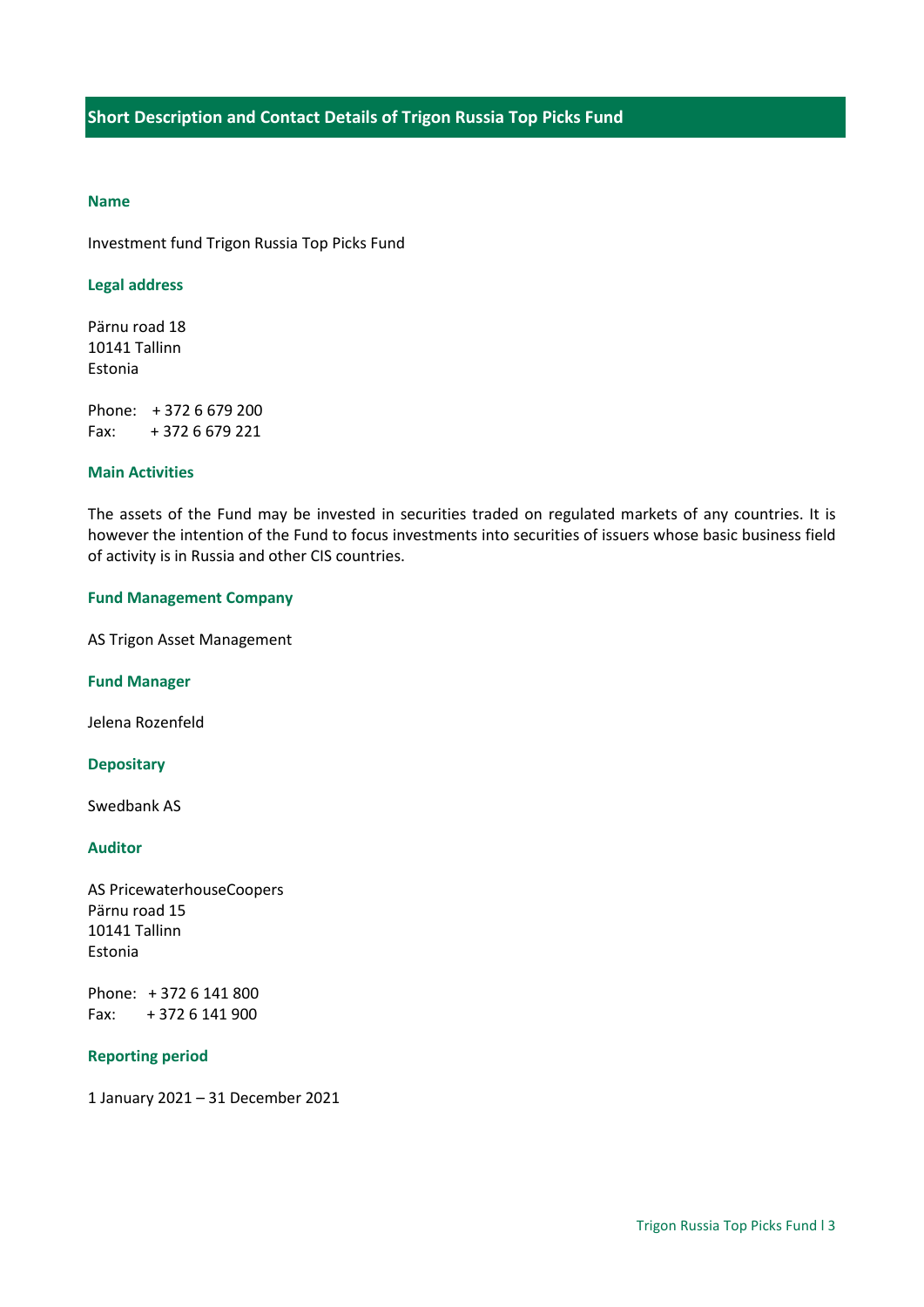# <span id="page-2-0"></span>**Name**

Investment fund Trigon Russia Top Picks Fund

# **Legal address**

Pärnu road 18 10141 Tallinn Estonia

Phone: + 372 6 679 200 Fax: + 372 6 679 221

#### **Main Activities**

The assets of the Fund may be invested in securities traded on regulated markets of any countries. It is however the intention of the Fund to focus investments into securities of issuers whose basic business field of activity is in Russia and other CIS countries.

#### **Fund Management Company**

AS Trigon Asset Management

**Fund Manager**

Jelena Rozenfeld

#### **Depositary**

Swedbank AS

# **Auditor**

AS PricewaterhouseCoopers Pärnu road 15 10141 Tallinn Estonia

Phone: + 372 6 141 800 Fax: + 372 6 141 900

# **Reporting period**

1 January 2021 – 31 December 2021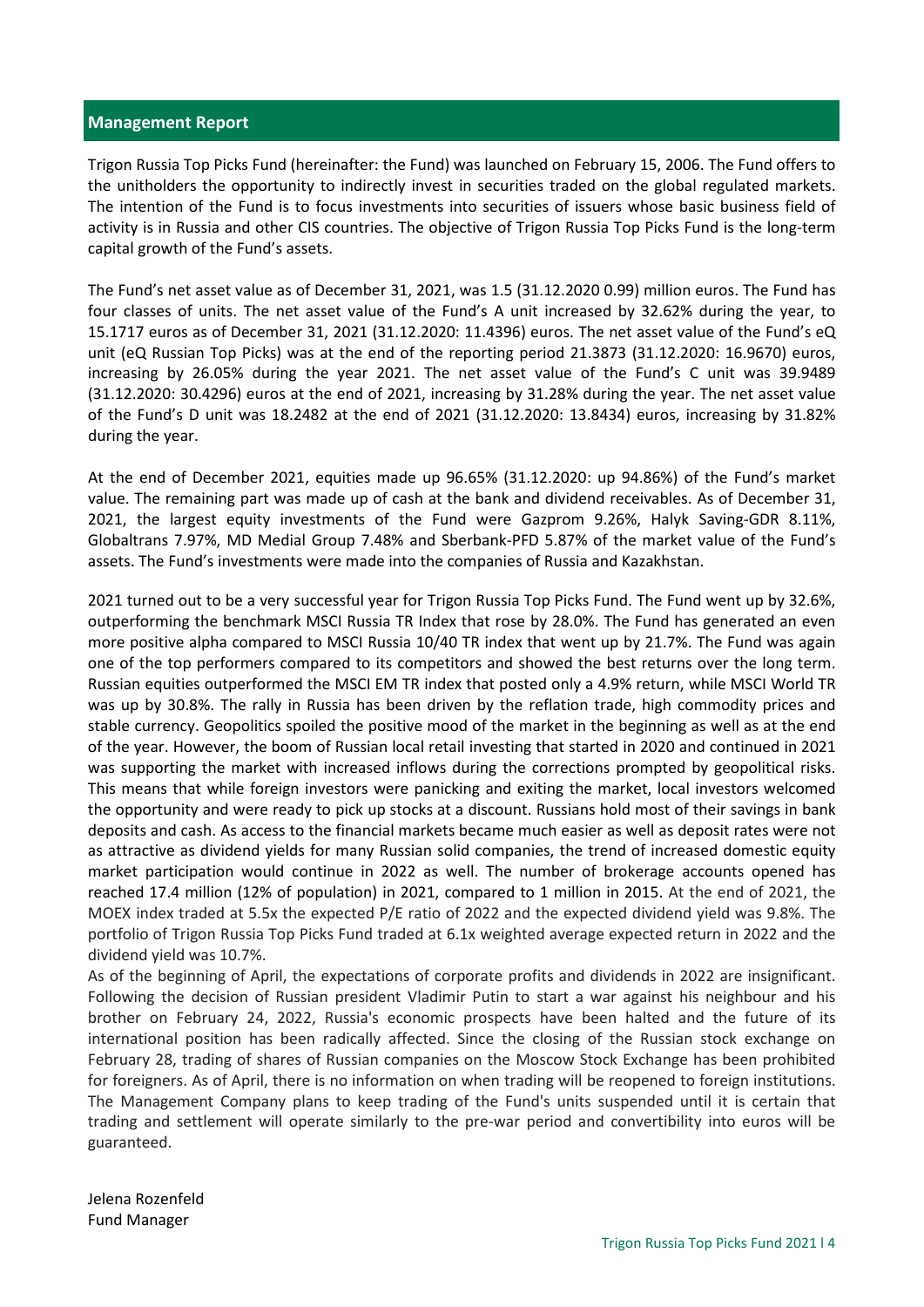#### <span id="page-3-0"></span>**Management Report**

Trigon Russia Top Picks Fund (hereinafter: the Fund) was launched on February 15, 2006. The Fund offers to the unitholders the opportunity to indirectly invest in securities traded on the global regulated markets. The intention of the Fund is to focus investments into securities of issuers whose basic business field of activity is in Russia and other CIS countries. The objective of Trigon Russia Top Picks Fund is the long-term capital growth of the Fund's assets.

The Fund's net asset value as of December 31, 2021, was 1.5 (31.12.2020 0.99) million euros. The Fund has four classes of units. The net asset value of the Fund's A unit increased by 32.62% during the year, to 15.1717 euros as of December 31, 2021 (31.12.2020: 11.4396) euros. The net asset value of the Fund's eQ unit (eQ Russian Top Picks) was at the end of the reporting period 21.3873 (31.12.2020: 16.9670) euros, increasing by 26.05% during the year 2021. The net asset value of the Fund's C unit was 39.9489 (31.12.2020: 30.4296) euros at the end of 2021, increasing by 31.28% during the year. The net asset value of the Fund's D unit was 18.2482 at the end of 2021 (31.12.2020: 13.8434) euros, increasing by 31.82% during the year.

At the end of December 2021, equities made up 96.65% (31.12.2020: up 94.86%) of the Fund's market value. The remaining part was made up of cash at the bank and dividend receivables. As of December 31, 2021, the largest equity investments of the Fund were Gazprom 9.26%, Halyk Saving-GDR 8.11%, Globaltrans 7.97%, MD Medial Group 7.48% and Sberbank-PFD 5.87% of the market value of the Fund's assets. The Fund's investments were made into the companies of Russia and Kazakhstan.

2021 turned out to be a very successful year for Trigon Russia Top Picks Fund. The Fund went up by 32.6%, outperforming the benchmark MSCI Russia TR Index that rose by 28.0%. The Fund has generated an even more positive alpha compared to MSCI Russia 10/40 TR index that went up by 21.7%. The Fund was again one of the top performers compared to its competitors and showed the best returns over the long term. Russian equities outperformed the MSCI EM TR index that posted only a 4.9% return, while MSCI World TR was up by 30.8%. The rally in Russia has been driven by the reflation trade, high commodity prices and stable currency. Geopolitics spoiled the positive mood of the market in the beginning as well as at the end of the year. However, the boom of Russian local retail investing that started in 2020 and continued in 2021 was supporting the market with increased inflows during the corrections prompted by geopolitical risks. This means that while foreign investors were panicking and exiting the market, local investors welcomed the opportunity and were ready to pick up stocks at a discount. Russians hold most of their savings in bank deposits and cash. As access to the financial markets became much easier as well as deposit rates were not as attractive as dividend yields for many Russian solid companies, the trend of increased domestic equity market participation would continue in 2022 as well. The number of brokerage accounts opened has reached 17.4 million (12% of population) in 2021, compared to 1 million in 2015. At the end of 2021, the MOEX index traded at 5.5x the expected P/E ratio of 2022 and the expected dividend yield was 9.8%. The portfolio of Trigon Russia Top Picks Fund traded at 6.1x weighted average expected return in 2022 and the dividend yield was 10.7%.

As of the beginning of April, the expectations of corporate profits and dividends in 2022 are insignificant. Following the decision of Russian president Vladimir Putin to start a war against his neighbour and his brother on February 24, 2022, Russia's economic prospects have been halted and the future of its international position has been radically affected. Since the closing of the Russian stock exchange on February 28, trading of shares of Russian companies on the Moscow Stock Exchange has been prohibited for foreigners. As of April, there is no information on when trading will be reopened to foreign institutions. The Management Company plans to keep trading of the Fund's units suspended until it is certain that trading and settlement will operate similarly to the pre-war period and convertibility into euros will be guaranteed.

Jelena Rozenfeld Fund Manager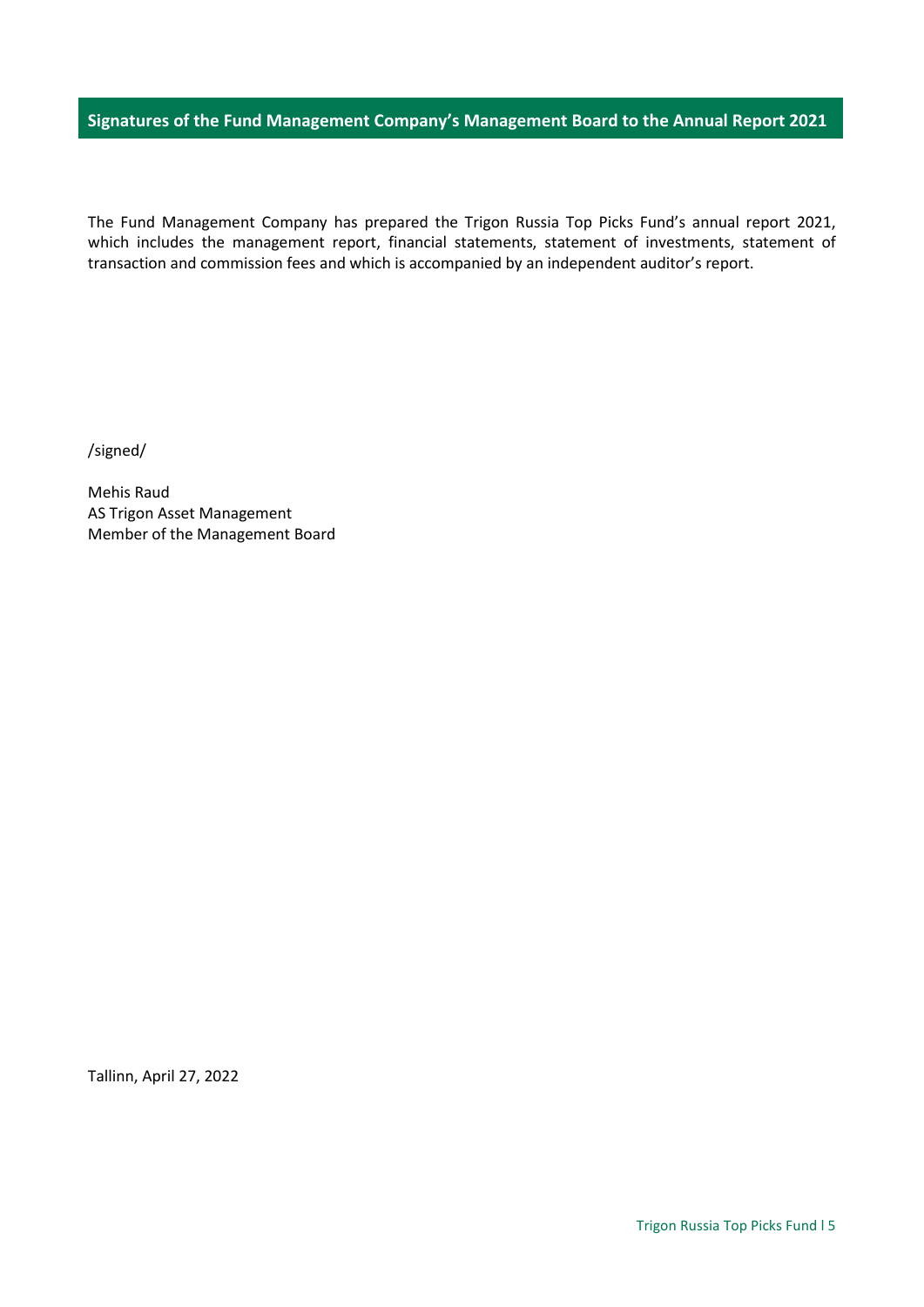# <span id="page-4-0"></span>**Signatures of the Fund Management Company's Management Board to the Annual Report 2021**

The Fund Management Company has prepared the Trigon Russia Top Picks Fund's annual report 2021, which includes the management report, financial statements, statement of investments, statement of transaction and commission fees and which is accompanied by an independent auditor's report.

/signed/

Mehis Raud AS Trigon Asset Management Member of the Management Board

Tallinn, April 27, 2022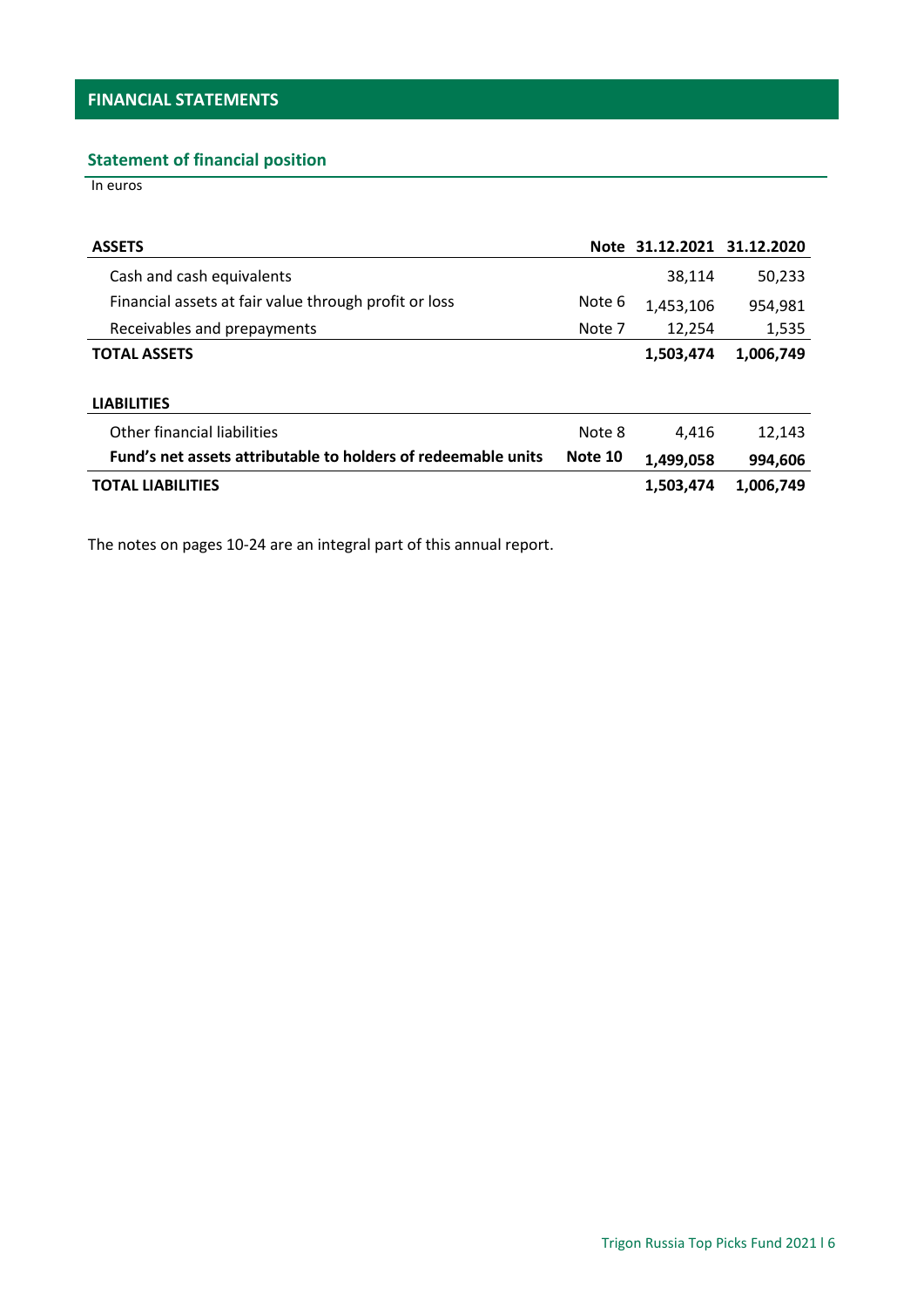# <span id="page-5-1"></span><span id="page-5-0"></span>**Statement of financial position**

In euros

| <b>ASSETS</b>                                                 |         | Note 31.12.2021 31.12.2020 |           |
|---------------------------------------------------------------|---------|----------------------------|-----------|
| Cash and cash equivalents                                     |         | 38,114                     | 50,233    |
| Financial assets at fair value through profit or loss         | Note 6  | 1,453,106                  | 954,981   |
| Receivables and prepayments                                   | Note 7  | 12,254                     | 1,535     |
| <b>TOTAL ASSETS</b>                                           |         | 1,503,474                  | 1,006,749 |
|                                                               |         |                            |           |
| <b>LIABILITIES</b>                                            |         |                            |           |
| Other financial liabilities                                   | Note 8  | 4,416                      | 12,143    |
| Fund's net assets attributable to holders of redeemable units | Note 10 | 1,499,058                  | 994,606   |
| <b>TOTAL LIABILITIES</b>                                      |         | 1,503,474                  | 1,006,749 |
|                                                               |         |                            |           |

The notes on pages 10-24 are an integral part of this annual report.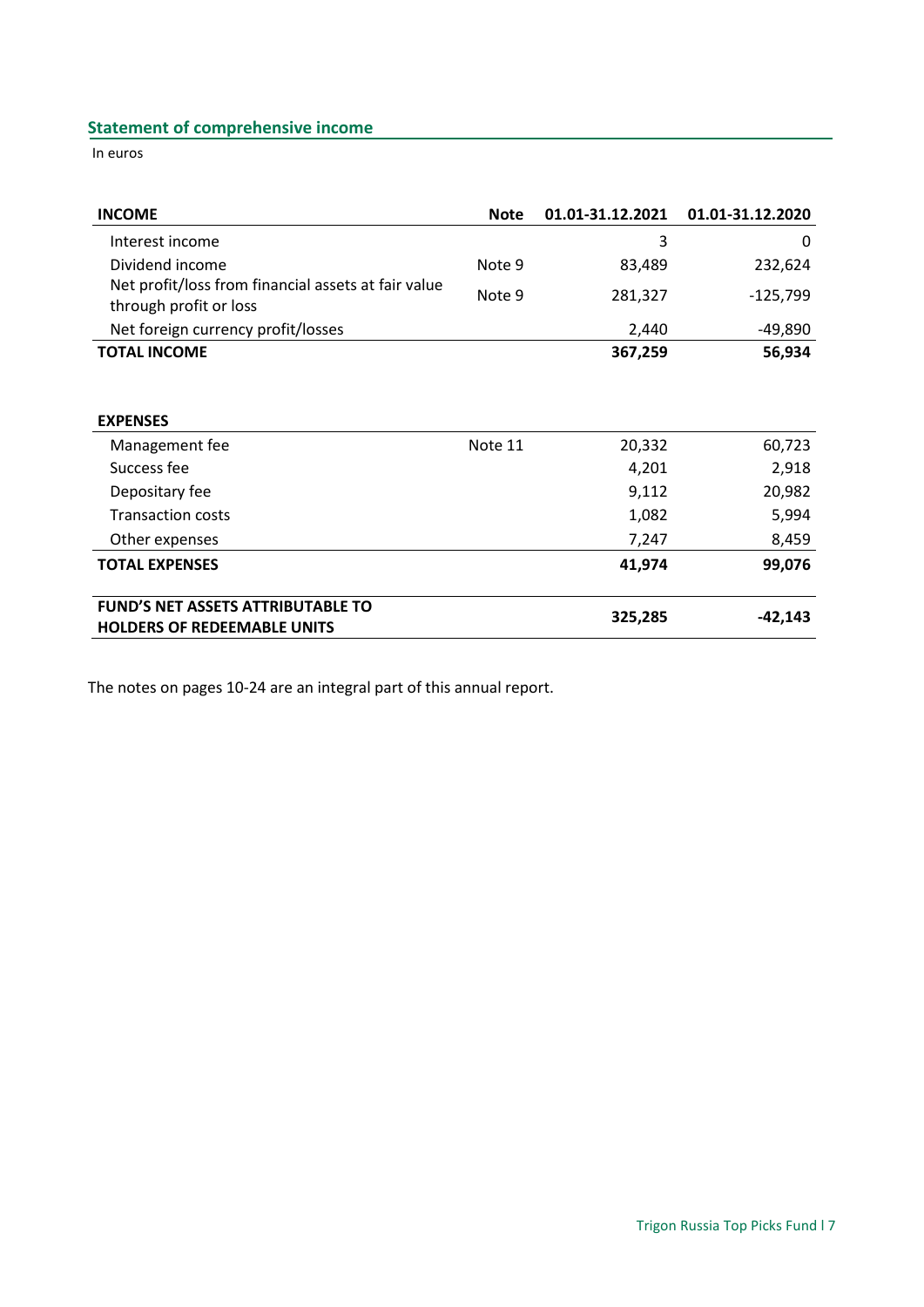# <span id="page-6-0"></span>**Statement of comprehensive income**

In euros

| <b>INCOME</b>                                                                  | <b>Note</b> | 01.01-31.12.2021 | 01.01-31.12.2020 |
|--------------------------------------------------------------------------------|-------------|------------------|------------------|
| Interest income                                                                |             | 3                | 0                |
| Dividend income                                                                | Note 9      | 83,489           | 232,624          |
| Net profit/loss from financial assets at fair value<br>through profit or loss  | Note 9      | 281,327          | $-125,799$       |
| Net foreign currency profit/losses                                             |             | 2,440            | -49,890          |
| <b>TOTAL INCOME</b>                                                            |             | 367,259          | 56,934           |
|                                                                                |             |                  |                  |
| <b>EXPENSES</b>                                                                |             |                  |                  |
| Management fee                                                                 | Note 11     | 20,332           | 60,723           |
| Success fee                                                                    |             | 4,201            | 2,918            |
| Depositary fee                                                                 |             | 9,112            | 20,982           |
| <b>Transaction costs</b>                                                       |             | 1,082            | 5,994            |
| Other expenses                                                                 |             | 7,247            | 8,459            |
| <b>TOTAL EXPENSES</b>                                                          |             | 41,974           | 99,076           |
| <b>FUND'S NET ASSETS ATTRIBUTABLE TO</b><br><b>HOLDERS OF REDEEMABLE UNITS</b> |             | 325,285          | $-42,143$        |

The notes on pages 10-24 are an integral part of this annual report.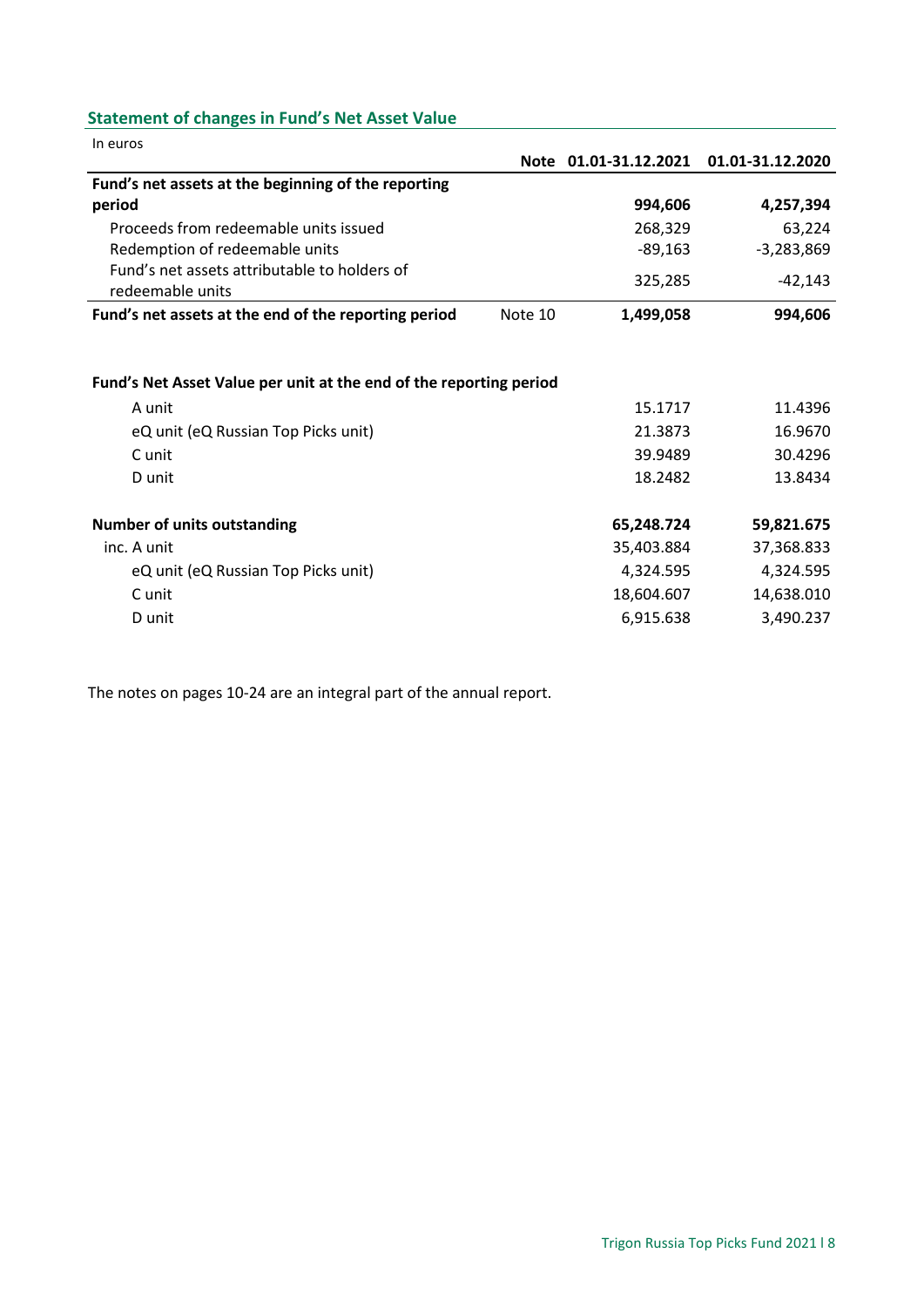# <span id="page-7-0"></span>**Statement of changes in Fund's Net Asset Value**

| In euros                                                           |         |                       |                  |
|--------------------------------------------------------------------|---------|-----------------------|------------------|
|                                                                    |         | Note 01.01-31.12.2021 | 01.01-31.12.2020 |
| Fund's net assets at the beginning of the reporting                |         |                       |                  |
| period                                                             |         | 994,606               | 4,257,394        |
| Proceeds from redeemable units issued                              |         | 268,329               | 63,224           |
| Redemption of redeemable units                                     |         | $-89,163$             | $-3,283,869$     |
| Fund's net assets attributable to holders of<br>redeemable units   |         | 325,285               | -42,143          |
| Fund's net assets at the end of the reporting period               | Note 10 | 1,499,058             | 994,606          |
|                                                                    |         |                       |                  |
| Fund's Net Asset Value per unit at the end of the reporting period |         |                       |                  |
| A unit                                                             |         | 15.1717               | 11.4396          |
| eQ unit (eQ Russian Top Picks unit)                                |         | 21.3873               | 16.9670          |
| C unit                                                             |         | 39.9489               | 30.4296          |
| D unit                                                             |         | 18.2482               | 13.8434          |
| <b>Number of units outstanding</b>                                 |         | 65,248.724            | 59,821.675       |
| inc. A unit                                                        |         | 35,403.884            | 37,368.833       |
| eQ unit (eQ Russian Top Picks unit)                                |         | 4,324.595             | 4,324.595        |
| C unit                                                             |         | 18,604.607            | 14,638.010       |
| D unit                                                             |         | 6,915.638             | 3,490.237        |
|                                                                    |         |                       |                  |

The notes on pages 10-24 are an integral part of the annual report.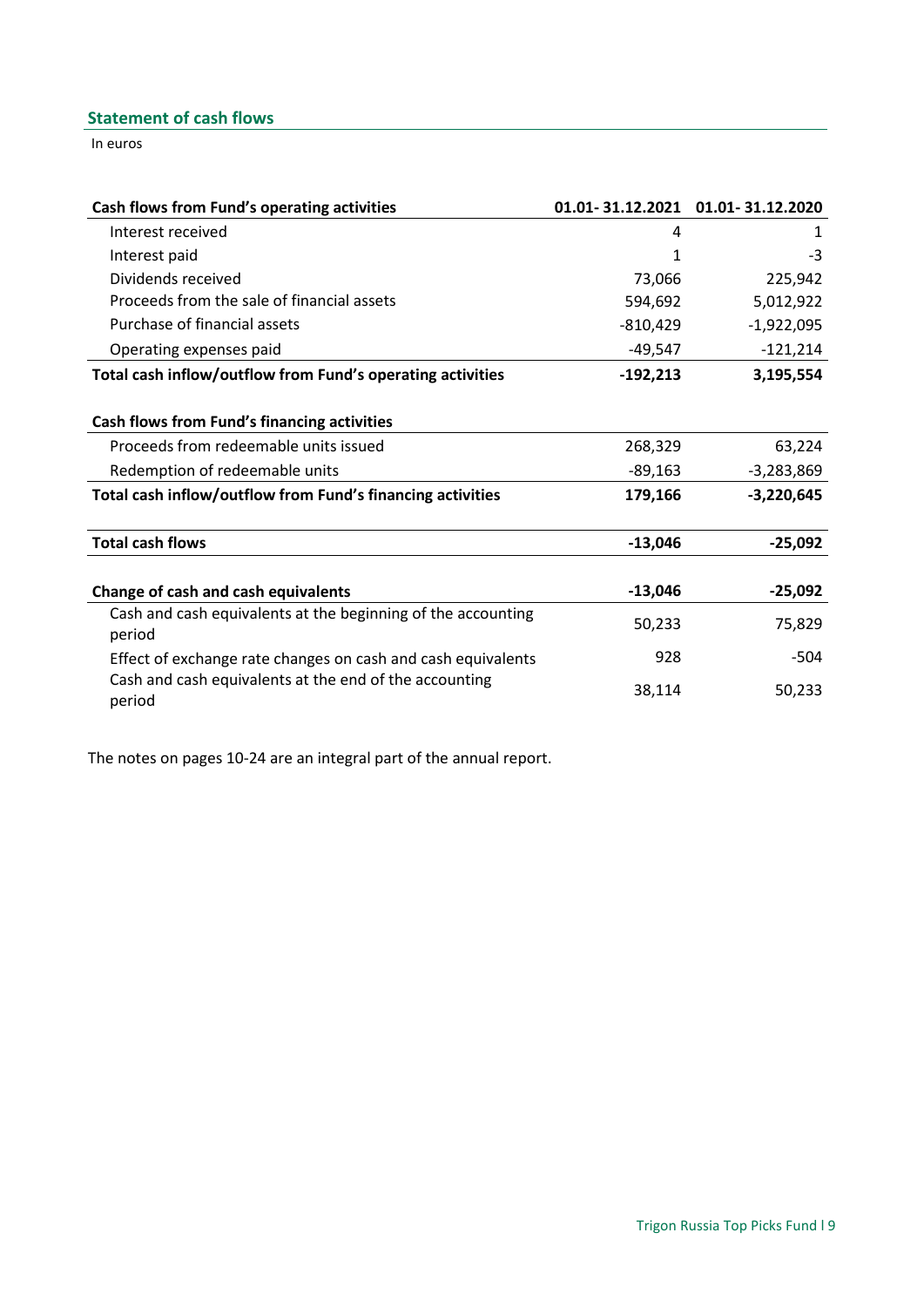# <span id="page-8-0"></span>**Statement of cash flows**

In euros

| Cash flows from Fund's operating activities                      | 01.01-31.12.2021 | 01.01-31.12.2020 |
|------------------------------------------------------------------|------------------|------------------|
| Interest received                                                | 4                | 1                |
| Interest paid                                                    | 1                | $-3$             |
| Dividends received                                               | 73,066           | 225,942          |
| Proceeds from the sale of financial assets                       | 594,692          | 5,012,922        |
| Purchase of financial assets                                     | $-810,429$       | $-1,922,095$     |
| Operating expenses paid                                          | $-49,547$        | $-121,214$       |
| Total cash inflow/outflow from Fund's operating activities       | $-192,213$       | 3,195,554        |
|                                                                  |                  |                  |
| Cash flows from Fund's financing activities                      |                  |                  |
| Proceeds from redeemable units issued                            | 268,329          | 63,224           |
| Redemption of redeemable units                                   | $-89,163$        | $-3,283,869$     |
| Total cash inflow/outflow from Fund's financing activities       | 179,166          | $-3,220,645$     |
| <b>Total cash flows</b>                                          | $-13,046$        | $-25,092$        |
| Change of cash and cash equivalents                              | $-13,046$        | $-25,092$        |
| Cash and cash equivalents at the beginning of the accounting     |                  |                  |
| period                                                           | 50,233           | 75,829           |
| Effect of exchange rate changes on cash and cash equivalents     | 928              | $-504$           |
| Cash and cash equivalents at the end of the accounting<br>period | 38,114           | 50,233           |

The notes on pages 10-24 are an integral part of the annual report.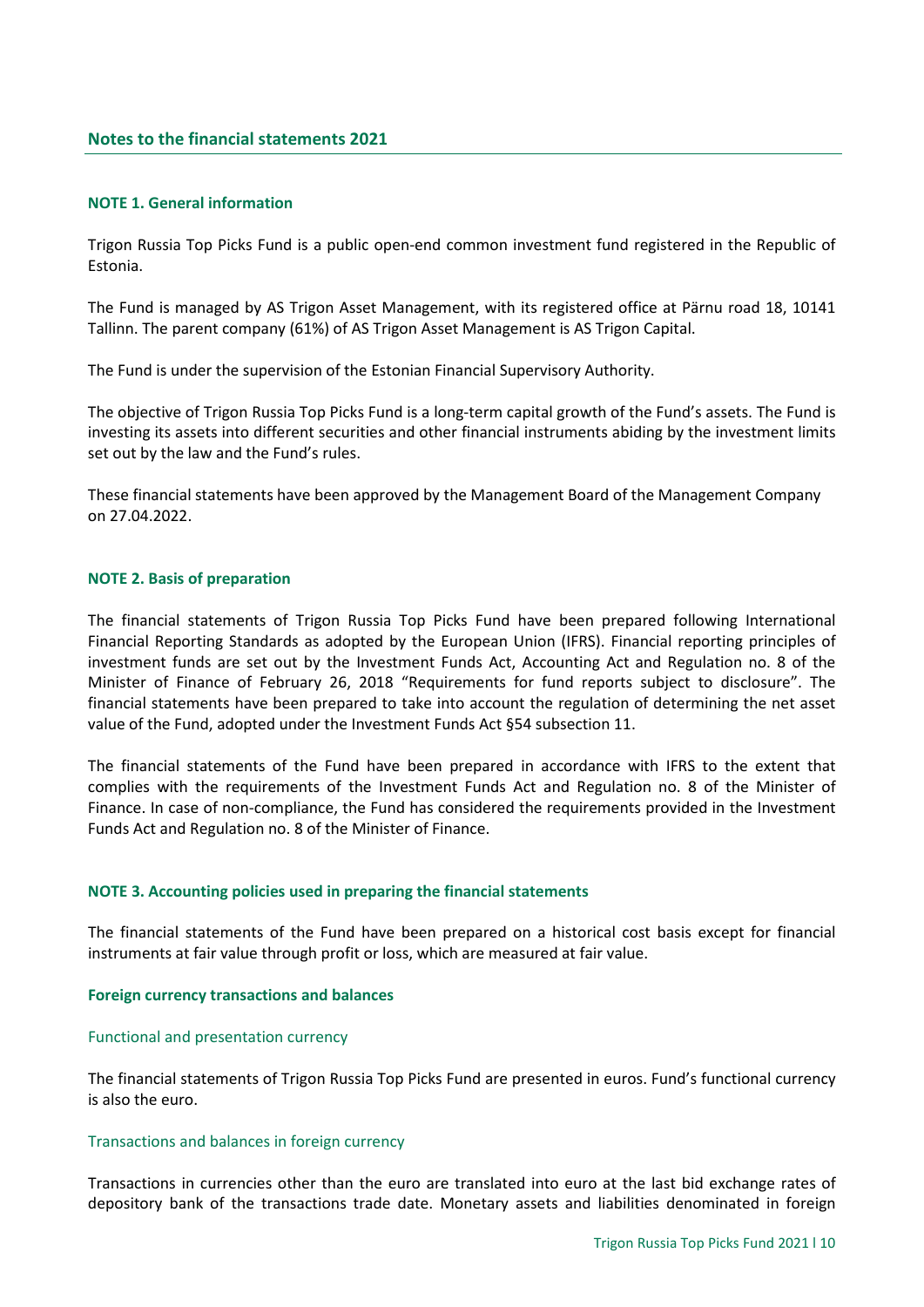#### <span id="page-9-1"></span><span id="page-9-0"></span>**NOTE 1. General information**

Trigon Russia Top Picks Fund is a public open-end common investment fund registered in the Republic of Estonia.

The Fund is managed by AS Trigon Asset Management, with its registered office at Pärnu road 18, 10141 Tallinn. The parent company (61%) of AS Trigon Asset Management is AS Trigon Capital.

The Fund is under the supervision of the Estonian Financial Supervisory Authority.

The objective of Trigon Russia Top Picks Fund is a long-term capital growth of the Fund's assets. The Fund is investing its assets into different securities and other financial instruments abiding by the investment limits set out by the law and the Fund's rules.

These financial statements have been approved by the Management Board of the Management Company on 27.04.2022.

#### <span id="page-9-2"></span>**NOTE 2. Basis of preparation**

The financial statements of Trigon Russia Top Picks Fund have been prepared following International Financial Reporting Standards as adopted by the European Union (IFRS). Financial reporting principles of investment funds are set out by the Investment Funds Act, Accounting Act and Regulation no. 8 of the Minister of Finance of February 26, 2018 "Requirements for fund reports subject to disclosure". The financial statements have been prepared to take into account the regulation of determining the net asset value of the Fund, adopted under the Investment Funds Act §54 subsection 11.

The financial statements of the Fund have been prepared in accordance with IFRS to the extent that complies with the requirements of the Investment Funds Act and Regulation no. 8 of the Minister of Finance. In case of non-compliance, the Fund has considered the requirements provided in the Investment Funds Act and Regulation no. 8 of the Minister of Finance.

#### <span id="page-9-3"></span>**NOTE 3. Accounting policies used in preparing the financial statements**

The financial statements of the Fund have been prepared on a historical cost basis except for financial instruments at fair value through profit or loss, which are measured at fair value.

#### **Foreign currency transactions and balances**

#### Functional and presentation currency

The financial statements of Trigon Russia Top Picks Fund are presented in euros. Fund's functional currency is also the euro.

#### Transactions and balances in foreign currency

Transactions in currencies other than the euro are translated into euro at the last bid exchange rates of depository bank of the transactions trade date. Monetary assets and liabilities denominated in foreign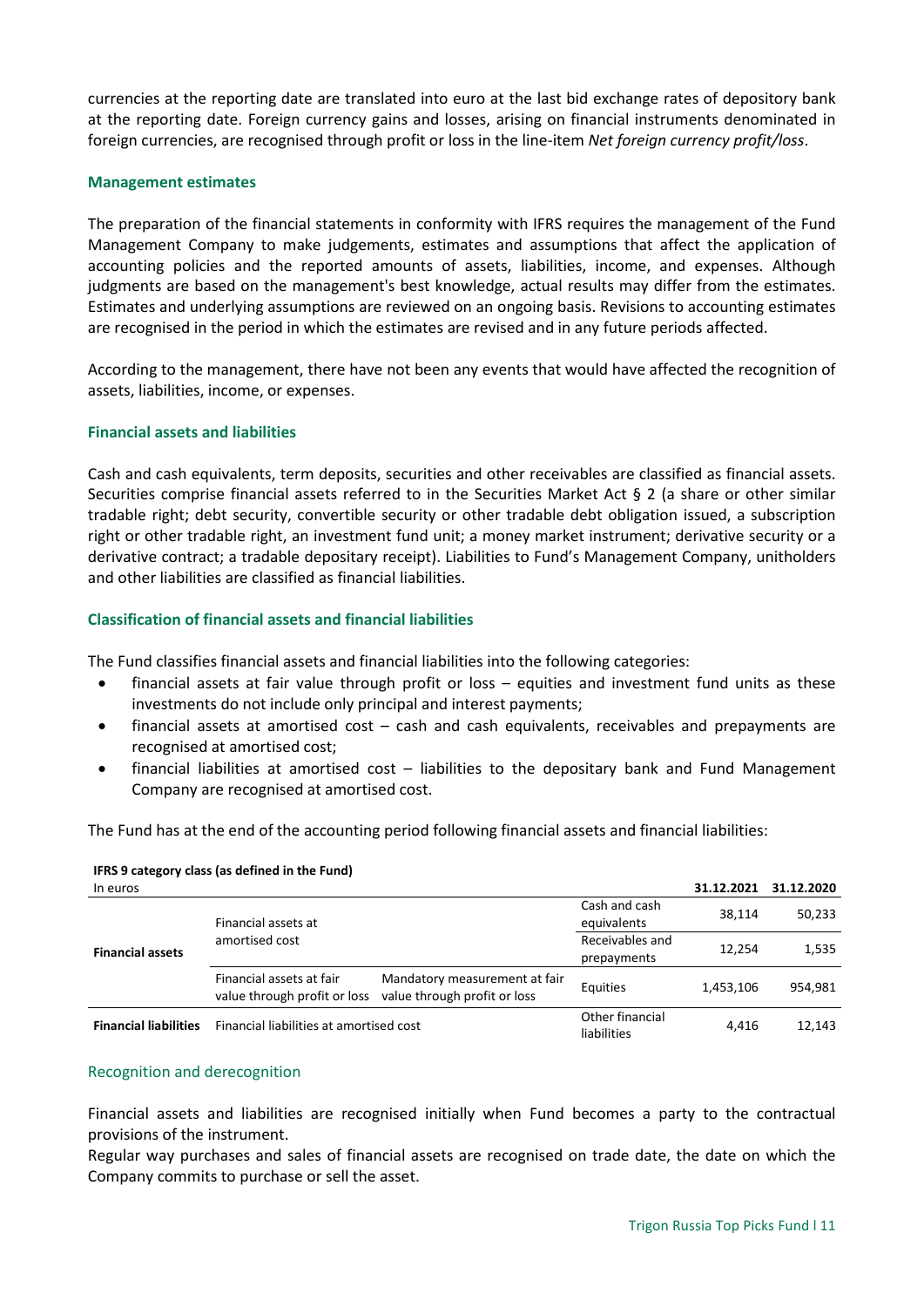currencies at the reporting date are translated into euro at the last bid exchange rates of depository bank at the reporting date. Foreign currency gains and losses, arising on financial instruments denominated in foreign currencies, are recognised through profit or loss in the line-item *Net foreign currency profit/loss*.

#### **Management estimates**

The preparation of the financial statements in conformity with IFRS requires the management of the Fund Management Company to make judgements, estimates and assumptions that affect the application of accounting policies and the reported amounts of assets, liabilities, income, and expenses. Although judgments are based on the management's best knowledge, actual results may differ from the estimates. Estimates and underlying assumptions are reviewed on an ongoing basis. Revisions to accounting estimates are recognised in the period in which the estimates are revised and in any future periods affected.

According to the management, there have not been any events that would have affected the recognition of assets, liabilities, income, or expenses.

#### **Financial assets and liabilities**

Cash and cash equivalents, term deposits, securities and other receivables are classified as financial assets. Securities comprise financial assets referred to in the Securities Market Act § 2 (a share or other similar tradable right; debt security, convertible security or other tradable debt obligation issued, a subscription right or other tradable right, an investment fund unit; a money market instrument; derivative security or a derivative contract; a tradable depositary receipt). Liabilities to Fund's Management Company, unitholders and other liabilities are classified as financial liabilities.

# **Classification of financial assets and financial liabilities**

The Fund classifies financial assets and financial liabilities into the following categories:

- financial assets at fair value through profit or loss equities and investment fund units as these investments do not include only principal and interest payments;
- financial assets at amortised cost cash and cash equivalents, receivables and prepayments are recognised at amortised cost;
- financial liabilities at amortised cost liabilities to the depositary bank and Fund Management Company are recognised at amortised cost.

The Fund has at the end of the accounting period following financial assets and financial liabilities:

| In euros                     |                                                          |                                                               |                                | 31.12.2021 | 31.12.2020 |
|------------------------------|----------------------------------------------------------|---------------------------------------------------------------|--------------------------------|------------|------------|
|                              | Financial assets at                                      |                                                               | Cash and cash<br>equivalents   | 38.114     | 50,233     |
| <b>Financial assets</b>      | amortised cost                                           |                                                               | Receivables and<br>prepayments | 12,254     | 1,535      |
|                              | Financial assets at fair<br>value through profit or loss | Mandatory measurement at fair<br>value through profit or loss | Equities                       | 1.453.106  | 954.981    |
| <b>Financial liabilities</b> | Financial liabilities at amortised cost                  |                                                               | Other financial<br>liabilities | 4.416      | 12,143     |

#### **IFRS 9 category class (as defined in the Fund)**

#### Recognition and derecognition

Financial assets and liabilities are recognised initially when Fund becomes a party to the contractual provisions of the instrument.

Regular way purchases and sales of financial assets are recognised on trade date, the date on which the Company commits to purchase or sell the asset.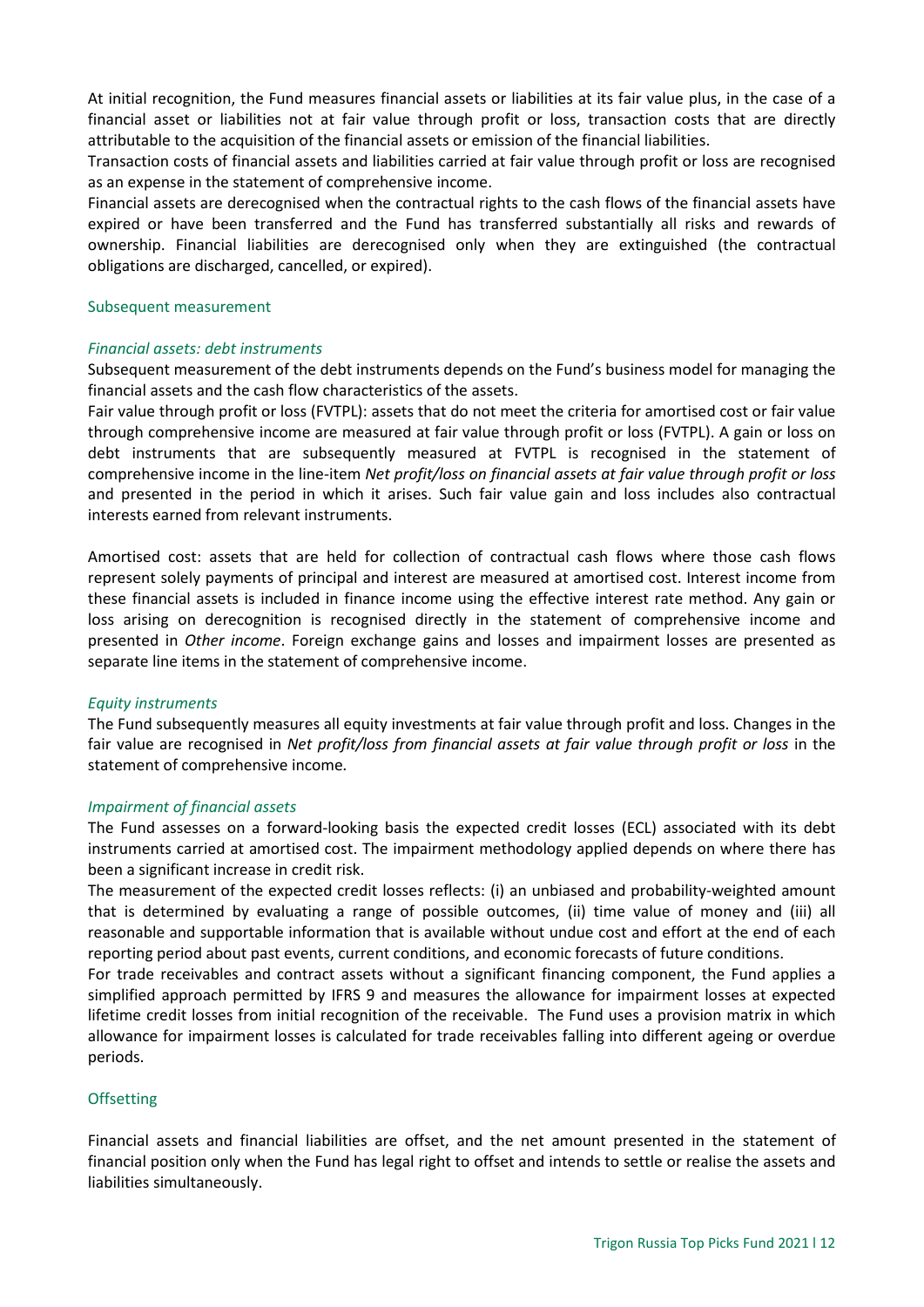At initial recognition, the Fund measures financial assets or liabilities at its fair value plus, in the case of a financial asset or liabilities not at fair value through profit or loss, transaction costs that are directly attributable to the acquisition of the financial assets or emission of the financial liabilities.

Transaction costs of financial assets and liabilities carried at fair value through profit or loss are recognised as an expense in the statement of comprehensive income.

Financial assets are derecognised when the contractual rights to the cash flows of the financial assets have expired or have been transferred and the Fund has transferred substantially all risks and rewards of ownership. Financial liabilities are derecognised only when they are extinguished (the contractual obligations are discharged, cancelled, or expired).

#### Subsequent measurement

# *Financial assets: debt instruments*

Subsequent measurement of the debt instruments depends on the Fund's business model for managing the financial assets and the cash flow characteristics of the assets.

Fair value through profit or loss (FVTPL): assets that do not meet the criteria for amortised cost or fair value through comprehensive income are measured at fair value through profit or loss (FVTPL). A gain or loss on debt instruments that are subsequently measured at FVTPL is recognised in the statement of comprehensive income in the line-item *Net profit/loss on financial assets at fair value through profit or loss* and presented in the period in which it arises. Such fair value gain and loss includes also contractual interests earned from relevant instruments.

Amortised cost: assets that are held for collection of contractual cash flows where those cash flows represent solely payments of principal and interest are measured at amortised cost. Interest income from these financial assets is included in finance income using the effective interest rate method. Any gain or loss arising on derecognition is recognised directly in the statement of comprehensive income and presented in *Other income*. Foreign exchange gains and losses and impairment losses are presented as separate line items in the statement of comprehensive income.

# *Equity instruments*

The Fund subsequently measures all equity investments at fair value through profit and loss. Changes in the fair value are recognised in *Net profit/loss from financial assets at fair value through profit or loss* in the statement of comprehensive income*.*

# *Impairment of financial assets*

The Fund assesses on a forward-looking basis the expected credit losses (ECL) associated with its debt instruments carried at amortised cost. The impairment methodology applied depends on where there has been a significant increase in credit risk.

The measurement of the expected credit losses reflects: (i) an unbiased and probability-weighted amount that is determined by evaluating a range of possible outcomes, (ii) time value of money and (iii) all reasonable and supportable information that is available without undue cost and effort at the end of each reporting period about past events, current conditions, and economic forecasts of future conditions.

For trade receivables and contract assets without a significant financing component, the Fund applies a simplified approach permitted by IFRS 9 and measures the allowance for impairment losses at expected lifetime credit losses from initial recognition of the receivable. The Fund uses a provision matrix in which allowance for impairment losses is calculated for trade receivables falling into different ageing or overdue periods.

# **Offsetting**

Financial assets and financial liabilities are offset, and the net amount presented in the statement of financial position only when the Fund has legal right to offset and intends to settle or realise the assets and liabilities simultaneously.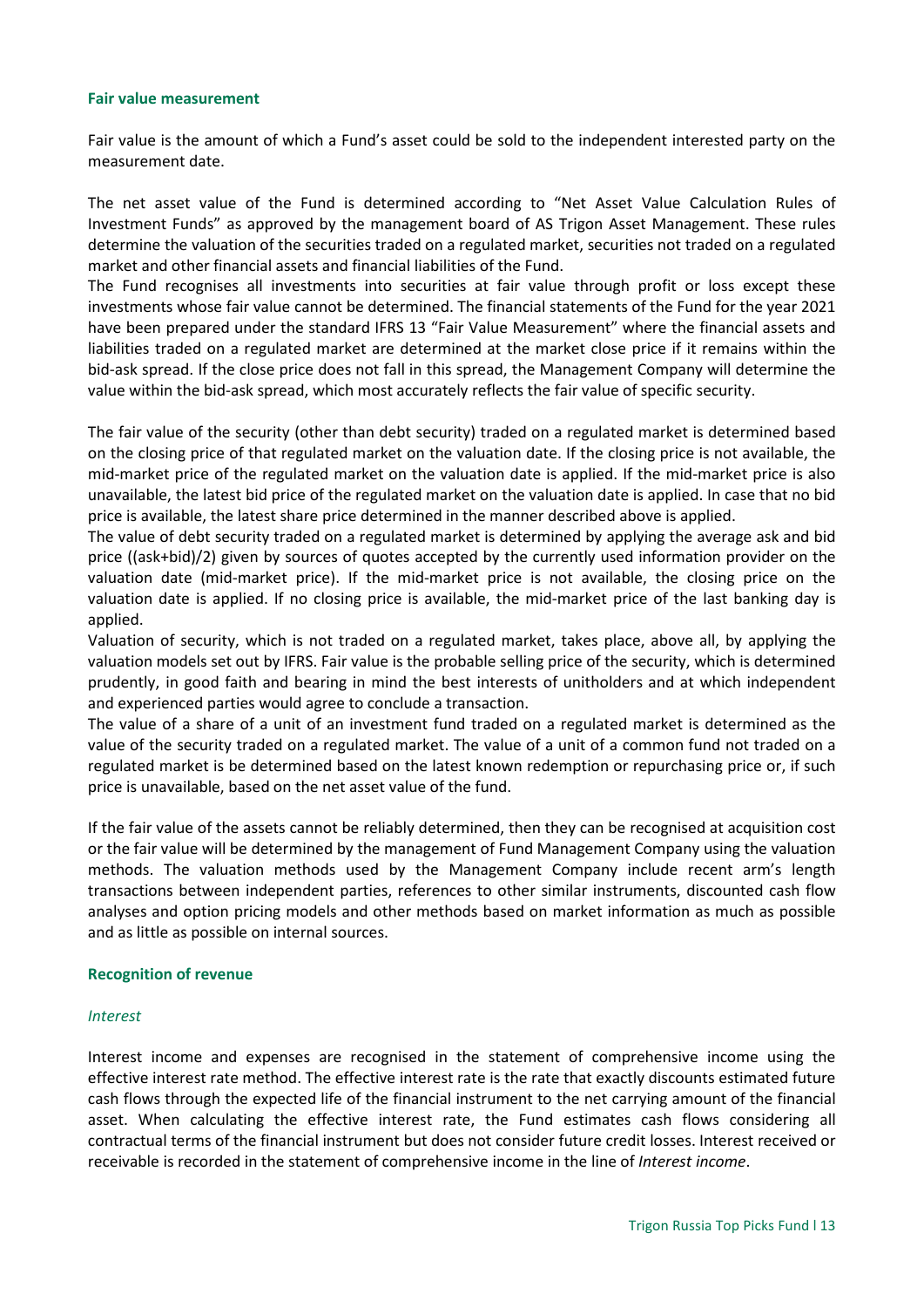#### **Fair value measurement**

Fair value is the amount of which a Fund's asset could be sold to the independent interested party on the measurement date.

The net asset value of the Fund is determined according to "Net Asset Value Calculation Rules of Investment Funds" as approved by the management board of AS Trigon Asset Management. These rules determine the valuation of the securities traded on a regulated market, securities not traded on a regulated market and other financial assets and financial liabilities of the Fund.

The Fund recognises all investments into securities at fair value through profit or loss except these investments whose fair value cannot be determined. The financial statements of the Fund for the year 2021 have been prepared under the standard IFRS 13 "Fair Value Measurement" where the financial assets and liabilities traded on a regulated market are determined at the market close price if it remains within the bid-ask spread. If the close price does not fall in this spread, the Management Company will determine the value within the bid-ask spread, which most accurately reflects the fair value of specific security.

The fair value of the security (other than debt security) traded on a regulated market is determined based on the closing price of that regulated market on the valuation date. If the closing price is not available, the mid-market price of the regulated market on the valuation date is applied. If the mid-market price is also unavailable, the latest bid price of the regulated market on the valuation date is applied. In case that no bid price is available, the latest share price determined in the manner described above is applied.

The value of debt security traded on a regulated market is determined by applying the average ask and bid price ((ask+bid)/2) given by sources of quotes accepted by the currently used information provider on the valuation date (mid-market price). If the mid-market price is not available, the closing price on the valuation date is applied. If no closing price is available, the mid-market price of the last banking day is applied.

Valuation of security, which is not traded on a regulated market, takes place, above all, by applying the valuation models set out by IFRS. Fair value is the probable selling price of the security, which is determined prudently, in good faith and bearing in mind the best interests of unitholders and at which independent and experienced parties would agree to conclude a transaction.

The value of a share of a unit of an investment fund traded on a regulated market is determined as the value of the security traded on a regulated market. The value of a unit of a common fund not traded on a regulated market is be determined based on the latest known redemption or repurchasing price or, if such price is unavailable, based on the net asset value of the fund.

If the fair value of the assets cannot be reliably determined, then they can be recognised at acquisition cost or the fair value will be determined by the management of Fund Management Company using the valuation methods. The valuation methods used by the Management Company include recent arm's length transactions between independent parties, references to other similar instruments, discounted cash flow analyses and option pricing models and other methods based on market information as much as possible and as little as possible on internal sources.

# **Recognition of revenue**

#### *Interest*

Interest income and expenses are recognised in the statement of comprehensive income using the effective interest rate method. The effective interest rate is the rate that exactly discounts estimated future cash flows through the expected life of the financial instrument to the net carrying amount of the financial asset. When calculating the effective interest rate, the Fund estimates cash flows considering all contractual terms of the financial instrument but does not consider future credit losses. Interest received or receivable is recorded in the statement of comprehensive income in the line of *Interest income*.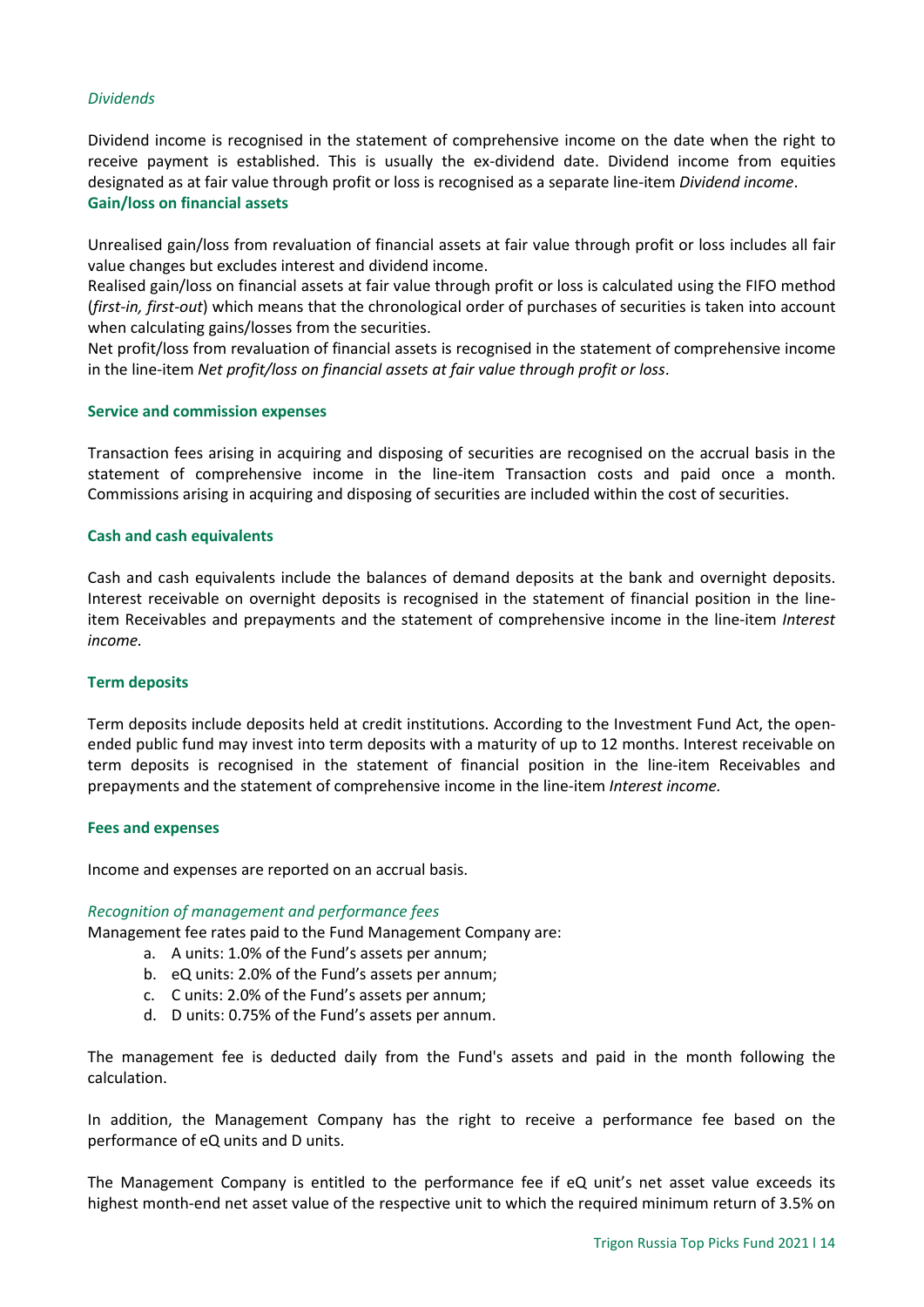# *Dividends*

Dividend income is recognised in the statement of comprehensive income on the date when the right to receive payment is established. This is usually the ex-dividend date. Dividend income from equities designated as at fair value through profit or loss is recognised as a separate line-item *Dividend income*. **Gain/loss on financial assets**

Unrealised gain/loss from revaluation of financial assets at fair value through profit or loss includes all fair value changes but excludes interest and dividend income.

Realised gain/loss on financial assets at fair value through profit or loss is calculated using the FIFO method (*first-in, first-out*) which means that the chronological order of purchases of securities is taken into account when calculating gains/losses from the securities.

Net profit/loss from revaluation of financial assets is recognised in the statement of comprehensive income in the line-item *Net profit/loss on financial assets at fair value through profit or loss*.

#### **Service and commission expenses**

Transaction fees arising in acquiring and disposing of securities are recognised on the accrual basis in the statement of comprehensive income in the line-item Transaction costs and paid once a month. Commissions arising in acquiring and disposing of securities are included within the cost of securities.

#### **Cash and cash equivalents**

Cash and cash equivalents include the balances of demand deposits at the bank and overnight deposits. Interest receivable on overnight deposits is recognised in the statement of financial position in the lineitem Receivables and prepayments and the statement of comprehensive income in the line-item *Interest income.*

#### **Term deposits**

Term deposits include deposits held at credit institutions. According to the Investment Fund Act, the openended public fund may invest into term deposits with a maturity of up to 12 months. Interest receivable on term deposits is recognised in the statement of financial position in the line-item Receivables and prepayments and the statement of comprehensive income in the line-item *Interest income.*

#### **Fees and expenses**

Income and expenses are reported on an accrual basis.

#### *Recognition of management and performance fees*

Management fee rates paid to the Fund Management Company are:

- a. A units: 1.0% of the Fund's assets per annum;
- b. eQ units: 2.0% of the Fund's assets per annum;
- c. C units: 2.0% of the Fund's assets per annum;
- d. D units: 0.75% of the Fund's assets per annum.

The management fee is deducted daily from the Fund's assets and paid in the month following the calculation.

In addition, the Management Company has the right to receive a performance fee based on the performance of eQ units and D units.

The Management Company is entitled to the performance fee if eQ unit's net asset value exceeds its highest month-end net asset value of the respective unit to which the required minimum return of 3.5% on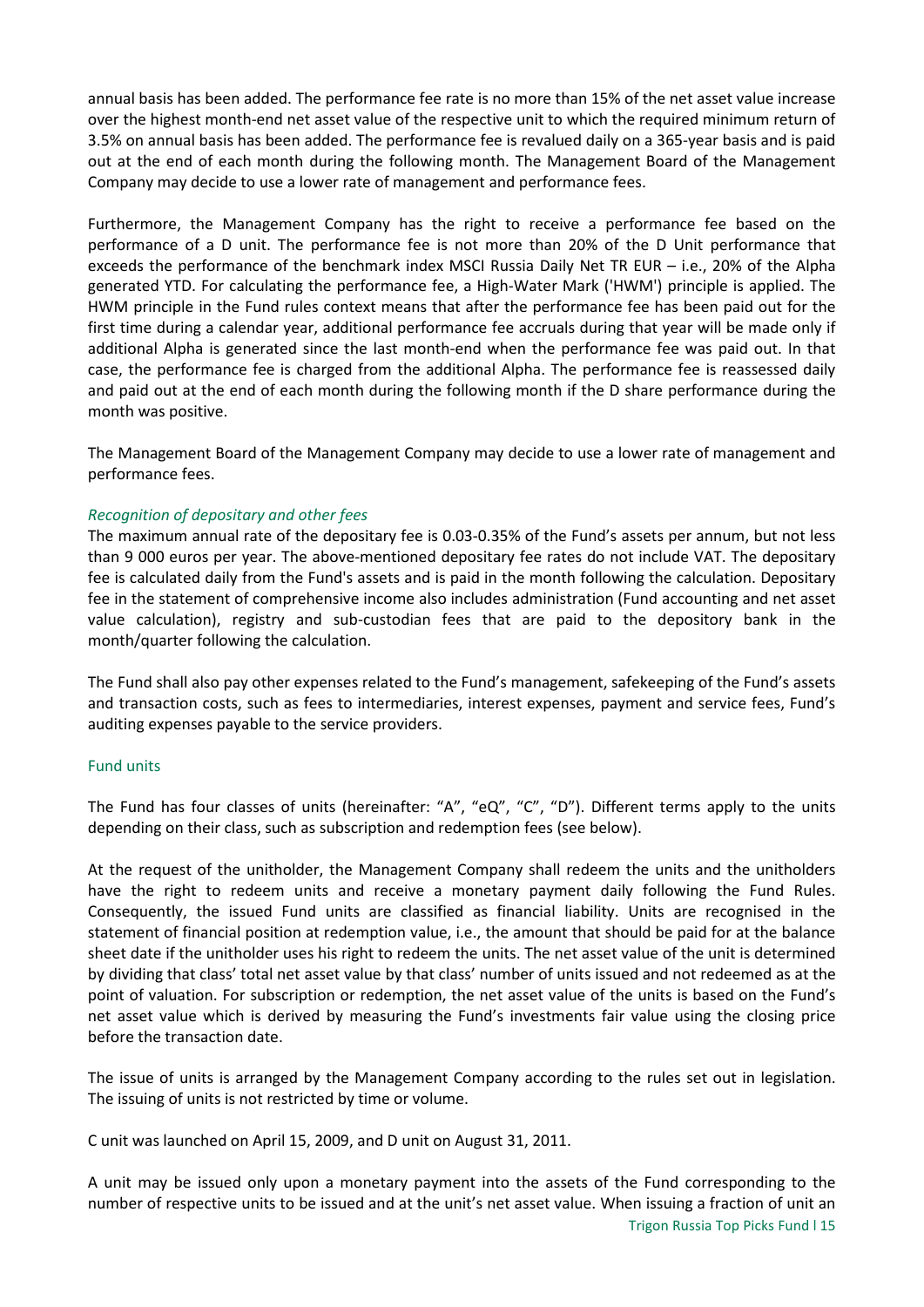annual basis has been added. The performance fee rate is no more than 15% of the net asset value increase over the highest month-end net asset value of the respective unit to which the required minimum return of 3.5% on annual basis has been added. The performance fee is revalued daily on a 365-year basis and is paid out at the end of each month during the following month. The Management Board of the Management Company may decide to use a lower rate of management and performance fees.

Furthermore, the Management Company has the right to receive a performance fee based on the performance of a D unit. The performance fee is not more than 20% of the D Unit performance that exceeds the performance of the benchmark index MSCI Russia Daily Net TR EUR – i.e., 20% of the Alpha generated YTD. For calculating the performance fee, a High-Water Mark ('HWM') principle is applied. The HWM principle in the Fund rules context means that after the performance fee has been paid out for the first time during a calendar year, additional performance fee accruals during that year will be made only if additional Alpha is generated since the last month-end when the performance fee was paid out. In that case, the performance fee is charged from the additional Alpha. The performance fee is reassessed daily and paid out at the end of each month during the following month if the D share performance during the month was positive.

The Management Board of the Management Company may decide to use a lower rate of management and performance fees.

# *Recognition of depositary and other fees*

The maximum annual rate of the depositary fee is 0.03-0.35% of the Fund's assets per annum, but not less than 9 000 euros per year. The above-mentioned depositary fee rates do not include VAT. The depositary fee is calculated daily from the Fund's assets and is paid in the month following the calculation. Depositary fee in the statement of comprehensive income also includes administration (Fund accounting and net asset value calculation), registry and sub-custodian fees that are paid to the depository bank in the month/quarter following the calculation.

The Fund shall also pay other expenses related to the Fund's management, safekeeping of the Fund's assets and transaction costs, such as fees to intermediaries, interest expenses, payment and service fees, Fund's auditing expenses payable to the service providers.

# Fund units

The Fund has four classes of units (hereinafter: "A", "eQ", "C", "D"). Different terms apply to the units depending on their class, such as subscription and redemption fees (see below).

At the request of the unitholder, the Management Company shall redeem the units and the unitholders have the right to redeem units and receive a monetary payment daily following the Fund Rules. Consequently, the issued Fund units are classified as financial liability. Units are recognised in the statement of financial position at redemption value, i.e., the amount that should be paid for at the balance sheet date if the unitholder uses his right to redeem the units. The net asset value of the unit is determined by dividing that class' total net asset value by that class' number of units issued and not redeemed as at the point of valuation. For subscription or redemption, the net asset value of the units is based on the Fund's net asset value which is derived by measuring the Fund's investments fair value using the closing price before the transaction date.

The issue of units is arranged by the Management Company according to the rules set out in legislation. The issuing of units is not restricted by time or volume.

C unit was launched on April 15, 2009, and D unit on August 31, 2011.

A unit may be issued only upon a monetary payment into the assets of the Fund corresponding to the number of respective units to be issued and at the unit's net asset value. When issuing a fraction of unit an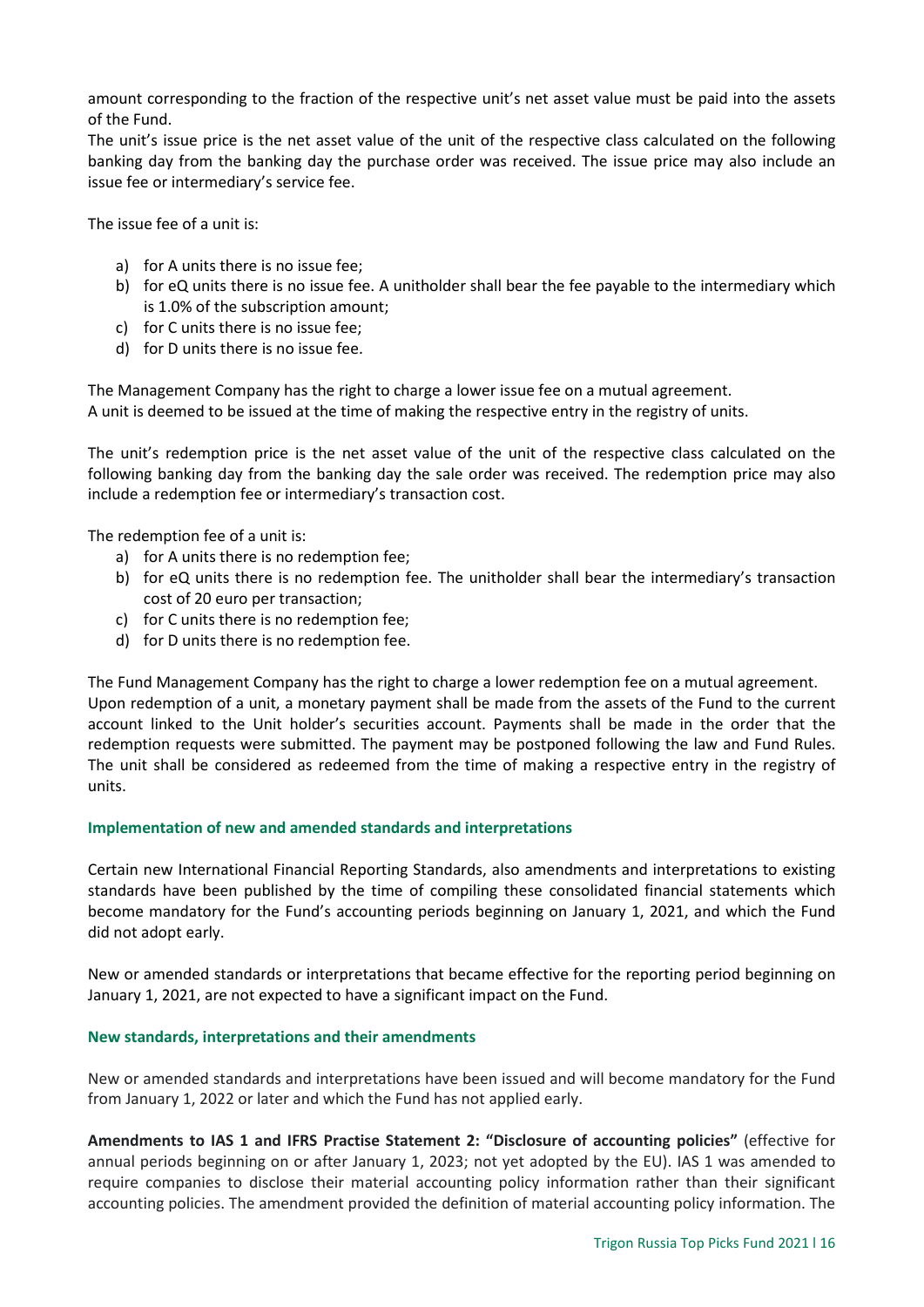amount corresponding to the fraction of the respective unit's net asset value must be paid into the assets of the Fund.

The unit's issue price is the net asset value of the unit of the respective class calculated on the following banking day from the banking day the purchase order was received. The issue price may also include an issue fee or intermediary's service fee.

The issue fee of a unit is:

- a) for A units there is no issue fee;
- b) for eQ units there is no issue fee. A unitholder shall bear the fee payable to the intermediary which is 1.0% of the subscription amount;
- c) for C units there is no issue fee;
- d) for D units there is no issue fee.

The Management Company has the right to charge a lower issue fee on a mutual agreement. A unit is deemed to be issued at the time of making the respective entry in the registry of units.

The unit's redemption price is the net asset value of the unit of the respective class calculated on the following banking day from the banking day the sale order was received. The redemption price may also include a redemption fee or intermediary's transaction cost.

The redemption fee of a unit is:

- a) for A units there is no redemption fee;
- b) for eQ units there is no redemption fee. The unitholder shall bear the intermediary's transaction cost of 20 euro per transaction;
- c) for C units there is no redemption fee;
- d) for D units there is no redemption fee.

The Fund Management Company has the right to charge a lower redemption fee on a mutual agreement. Upon redemption of a unit, a monetary payment shall be made from the assets of the Fund to the current account linked to the Unit holder's securities account. Payments shall be made in the order that the redemption requests were submitted. The payment may be postponed following the law and Fund Rules. The unit shall be considered as redeemed from the time of making a respective entry in the registry of units.

#### **Implementation of new and amended standards and interpretations**

Certain new International Financial Reporting Standards, also amendments and interpretations to existing standards have been published by the time of compiling these consolidated financial statements which become mandatory for the Fund's accounting periods beginning on January 1, 2021, and which the Fund did not adopt early.

New or amended standards or interpretations that became effective for the reporting period beginning on January 1, 2021, are not expected to have a significant impact on the Fund.

#### **New standards, interpretations and their amendments**

New or amended standards and interpretations have been issued and will become mandatory for the Fund from January 1, 2022 or later and which the Fund has not applied early.

**Amendments to IAS 1 and IFRS Practise Statement 2: "Disclosure of accounting policies"** (effective for annual periods beginning on or after January 1, 2023; not yet adopted by the EU). IAS 1 was amended to require companies to disclose their material accounting policy information rather than their significant accounting policies. The amendment provided the definition of material accounting policy information. The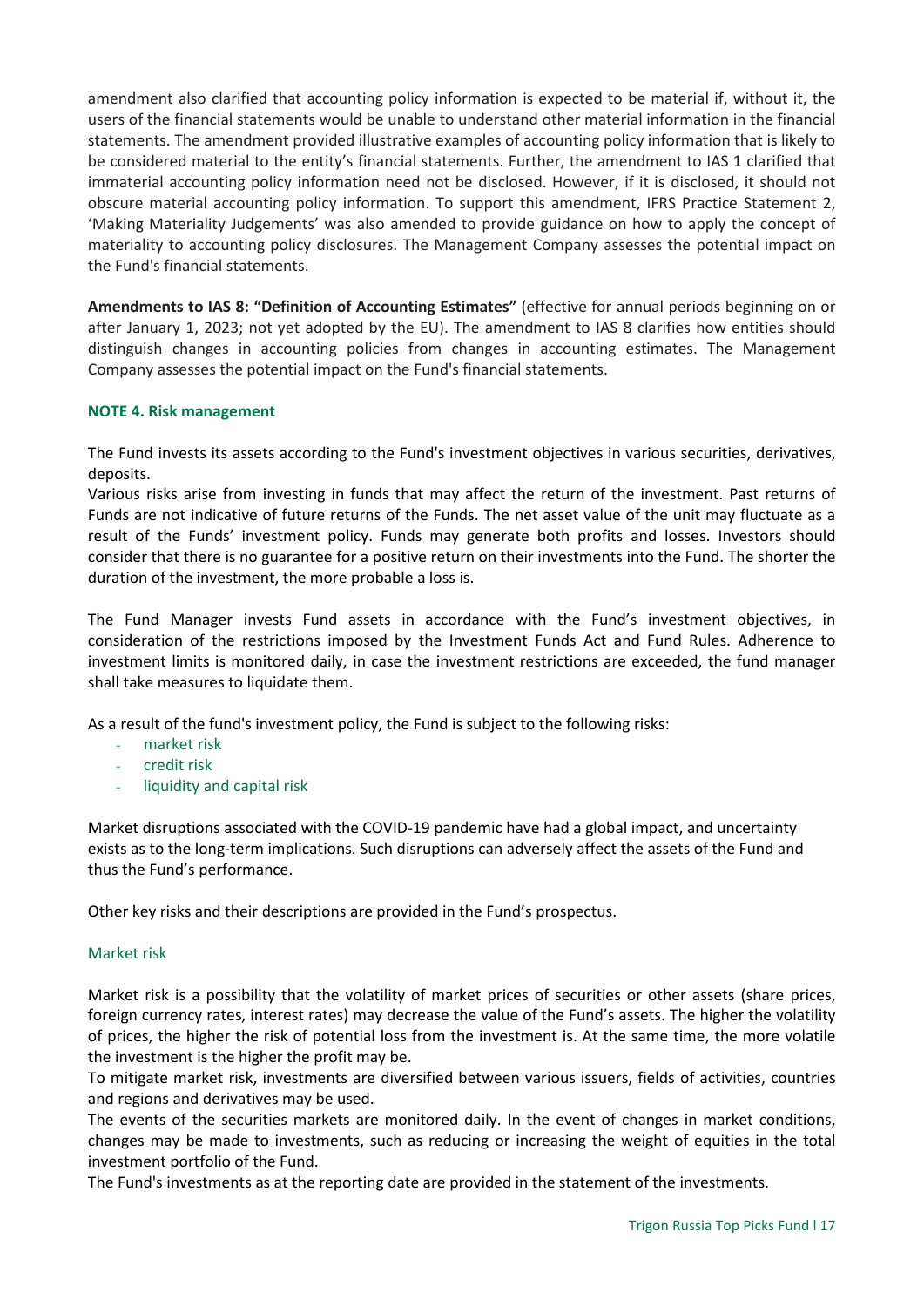amendment also clarified that accounting policy information is expected to be material if, without it, the users of the financial statements would be unable to understand other material information in the financial statements. The amendment provided illustrative examples of accounting policy information that is likely to be considered material to the entity's financial statements. Further, the amendment to IAS 1 clarified that immaterial accounting policy information need not be disclosed. However, if it is disclosed, it should not obscure material accounting policy information. To support this amendment, IFRS Practice Statement 2, 'Making Materiality Judgements' was also amended to provide guidance on how to apply the concept of materiality to accounting policy disclosures. The Management Company assesses the potential impact on the Fund's financial statements.

**Amendments to IAS 8: "Definition of Accounting Estimates"** (effective for annual periods beginning on or after January 1, 2023; not yet adopted by the EU). The amendment to IAS 8 clarifies how entities should distinguish changes in accounting policies from changes in accounting estimates. The Management Company assesses the potential impact on the Fund's financial statements.

# <span id="page-16-0"></span>**NOTE 4. Risk management**

The Fund invests its assets according to the Fund's investment objectives in various securities, derivatives, deposits.

Various risks arise from investing in funds that may affect the return of the investment. Past returns of Funds are not indicative of future returns of the Funds. The net asset value of the unit may fluctuate as a result of the Funds' investment policy. Funds may generate both profits and losses. Investors should consider that there is no guarantee for a positive return on their investments into the Fund. The shorter the duration of the investment, the more probable a loss is.

The Fund Manager invests Fund assets in accordance with the Fund's investment objectives, in consideration of the restrictions imposed by the Investment Funds Act and Fund Rules. Adherence to investment limits is monitored daily, in case the investment restrictions are exceeded, the fund manager shall take measures to liquidate them.

As a result of the fund's investment policy, the Fund is subject to the following risks:

- market risk
- credit risk
- liquidity and capital risk

Market disruptions associated with the COVID-19 pandemic have had a global impact, and uncertainty exists as to the long-term implications. Such disruptions can adversely affect the assets of the Fund and thus the Fund's performance.

Other key risks and their descriptions are provided in the Fund's prospectus.

# Market risk

Market risk is a possibility that the volatility of market prices of securities or other assets (share prices, foreign currency rates, interest rates) may decrease the value of the Fund's assets. The higher the volatility of prices, the higher the risk of potential loss from the investment is. At the same time, the more volatile the investment is the higher the profit may be.

To mitigate market risk, investments are diversified between various issuers, fields of activities, countries and regions and derivatives may be used.

The events of the securities markets are monitored daily. In the event of changes in market conditions, changes may be made to investments, such as reducing or increasing the weight of equities in the total investment portfolio of the Fund.

The Fund's investments as at the reporting date are provided in the statement of the investments.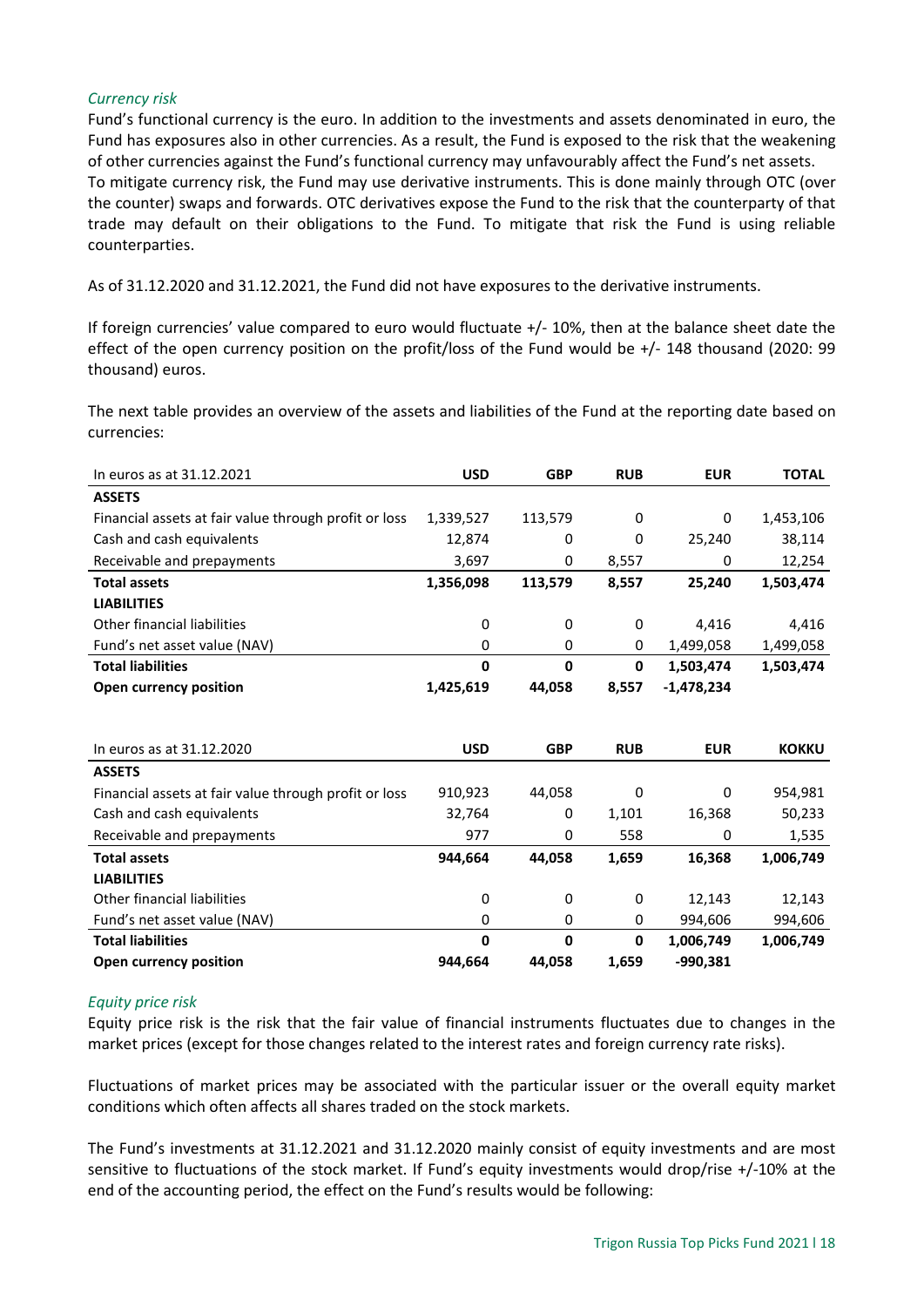# *Currency risk*

Fund's functional currency is the euro. In addition to the investments and assets denominated in euro, the Fund has exposures also in other currencies. As a result, the Fund is exposed to the risk that the weakening of other currencies against the Fund's functional currency may unfavourably affect the Fund's net assets. To mitigate currency risk, the Fund may use derivative instruments. This is done mainly through OTC (over the counter) swaps and forwards. OTC derivatives expose the Fund to the risk that the counterparty of that trade may default on their obligations to the Fund. To mitigate that risk the Fund is using reliable counterparties.

As of 31.12.2020 and 31.12.2021, the Fund did not have exposures to the derivative instruments.

If foreign currencies' value compared to euro would fluctuate +/- 10%, then at the balance sheet date the effect of the open currency position on the profit/loss of the Fund would be +/- 148 thousand (2020: 99 thousand) euros.

The next table provides an overview of the assets and liabilities of the Fund at the reporting date based on currencies:

| In euros as at 31.12.2021                             | <b>USD</b>  | <b>GBP</b> | <b>RUB</b>   | <b>EUR</b>   | <b>TOTAL</b> |
|-------------------------------------------------------|-------------|------------|--------------|--------------|--------------|
| <b>ASSETS</b>                                         |             |            |              |              |              |
| Financial assets at fair value through profit or loss | 1,339,527   | 113,579    | 0            | 0            | 1,453,106    |
| Cash and cash equivalents                             | 12,874      | 0          | 0            | 25,240       | 38,114       |
| Receivable and prepayments                            | 3,697       | 0          | 8,557        | 0            | 12,254       |
| <b>Total assets</b>                                   | 1,356,098   | 113,579    | 8,557        | 25,240       | 1,503,474    |
| <b>LIABILITIES</b>                                    |             |            |              |              |              |
| Other financial liabilities                           | 0           | 0          | 0            | 4,416        | 4,416        |
| Fund's net asset value (NAV)                          | 0           | 0          | 0            | 1,499,058    | 1,499,058    |
| <b>Total liabilities</b>                              | $\mathbf 0$ | 0          | $\mathbf 0$  | 1,503,474    | 1,503,474    |
| Open currency position                                | 1,425,619   | 44,058     | 8,557        | $-1,478,234$ |              |
|                                                       |             |            |              |              |              |
|                                                       |             |            |              |              |              |
|                                                       |             |            |              |              | <b>KOKKU</b> |
| In euros as at 31.12.2020                             | <b>USD</b>  | <b>GBP</b> | <b>RUB</b>   | <b>EUR</b>   |              |
| <b>ASSETS</b>                                         |             |            |              |              |              |
| Financial assets at fair value through profit or loss | 910,923     | 44,058     | 0            | 0            | 954,981      |
| Cash and cash equivalents                             | 32,764      | 0          | 1,101        | 16,368       | 50,233       |
| Receivable and prepayments                            | 977         | 0          | 558          | 0            | 1,535        |
| <b>Total assets</b>                                   | 944,664     | 44,058     | 1,659        | 16,368       | 1,006,749    |
| <b>LIABILITIES</b>                                    |             |            |              |              |              |
| Other financial liabilities                           | 0           | 0          | 0            | 12,143       | 12,143       |
| Fund's net asset value (NAV)                          | $\mathbf 0$ | 0          | 0            | 994,606      | 994,606      |
| <b>Total liabilities</b>                              | $\mathbf 0$ | 0          | $\mathbf{0}$ | 1,006,749    | 1,006,749    |

# *Equity price risk*

Equity price risk is the risk that the fair value of financial instruments fluctuates due to changes in the market prices (except for those changes related to the interest rates and foreign currency rate risks).

Fluctuations of market prices may be associated with the particular issuer or the overall equity market conditions which often affects all shares traded on the stock markets.

The Fund's investments at 31.12.2021 and 31.12.2020 mainly consist of equity investments and are most sensitive to fluctuations of the stock market. If Fund's equity investments would drop/rise +/-10% at the end of the accounting period, the effect on the Fund's results would be following: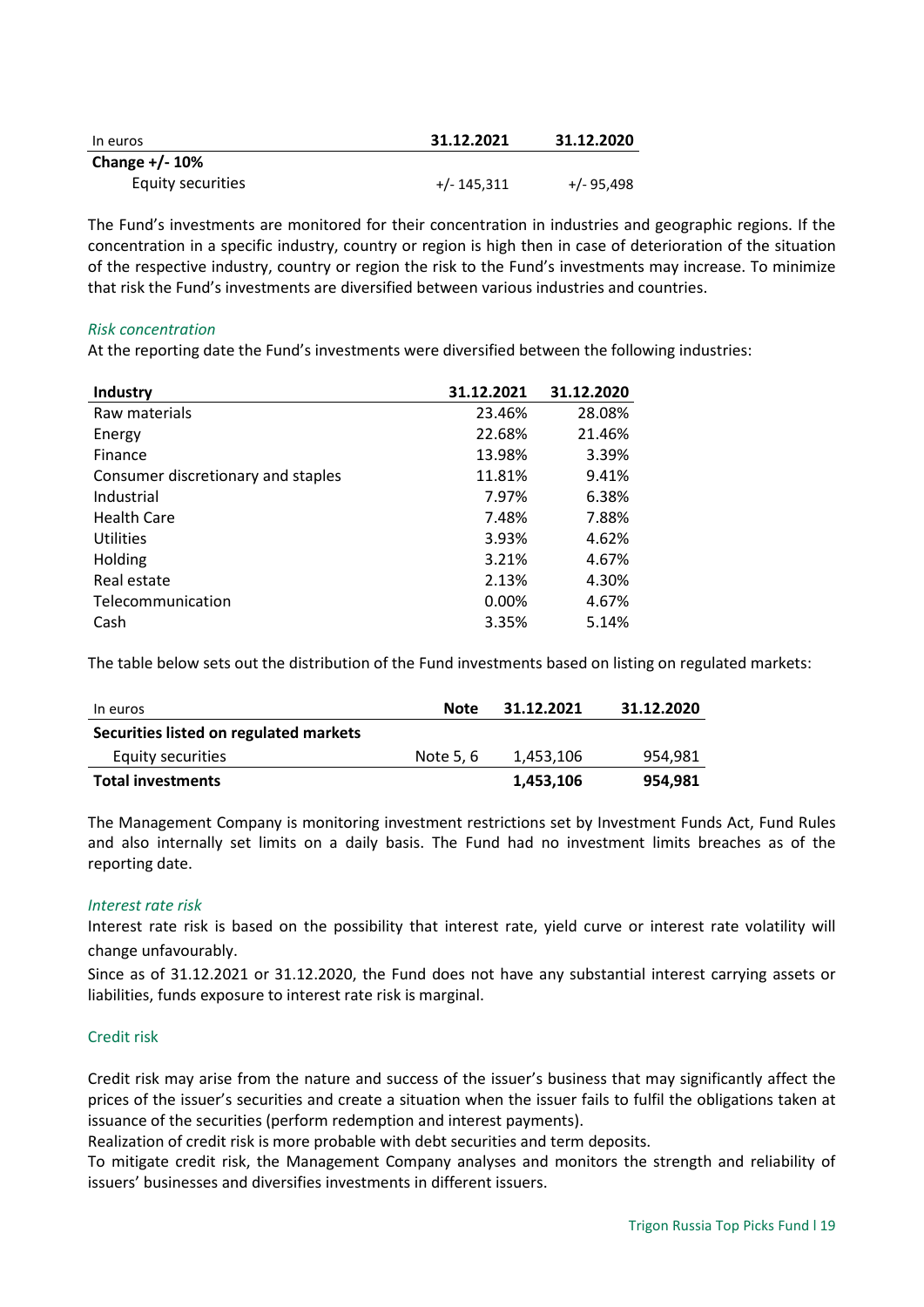| In euros          | 31.12.2021    | 31.12.2020   |
|-------------------|---------------|--------------|
| Change +/-10%     |               |              |
| Equity securities | $+/- 145.311$ | $+/- 95.498$ |

The Fund's investments are monitored for their concentration in industries and geographic regions. If the concentration in a specific industry, country or region is high then in case of deterioration of the situation of the respective industry, country or region the risk to the Fund's investments may increase. To minimize that risk the Fund's investments are diversified between various industries and countries.

# *Risk concentration*

At the reporting date the Fund's investments were diversified between the following industries:

| Industry                           | 31.12.2021 | 31.12.2020 |
|------------------------------------|------------|------------|
| Raw materials                      | 23.46%     | 28.08%     |
| Energy                             | 22.68%     | 21.46%     |
| Finance                            | 13.98%     | 3.39%      |
| Consumer discretionary and staples | 11.81%     | 9.41%      |
| Industrial                         | 7.97%      | 6.38%      |
| <b>Health Care</b>                 | 7.48%      | 7.88%      |
| Utilities                          | 3.93%      | 4.62%      |
| Holding                            | 3.21%      | 4.67%      |
| Real estate                        | 2.13%      | 4.30%      |
| Telecommunication                  | 0.00%      | 4.67%      |
| Cash                               | 3.35%      | 5.14%      |

The table below sets out the distribution of the Fund investments based on listing on regulated markets:

| In euros                               | Note      | 31.12.2021 | 31.12.2020 |
|----------------------------------------|-----------|------------|------------|
| Securities listed on regulated markets |           |            |            |
| Equity securities                      | Note 5, 6 | 1.453.106  | 954.981    |
| <b>Total investments</b>               |           | 1,453,106  | 954,981    |

The Management Company is monitoring investment restrictions set by Investment Funds Act, Fund Rules and also internally set limits on a daily basis. The Fund had no investment limits breaches as of the reporting date.

# *Interest rate risk*

Interest rate risk is based on the possibility that interest rate, yield curve or interest rate volatility will change unfavourably.

Since as of 31.12.2021 or 31.12.2020, the Fund does not have any substantial interest carrying assets or liabilities, funds exposure to interest rate risk is marginal.

# Credit risk

Credit risk may arise from the nature and success of the issuer's business that may significantly affect the prices of the issuer's securities and create a situation when the issuer fails to fulfil the obligations taken at issuance of the securities (perform redemption and interest payments).

Realization of credit risk is more probable with debt securities and term deposits.

To mitigate credit risk, the Management Company analyses and monitors the strength and reliability of issuers' businesses and diversifies investments in different issuers.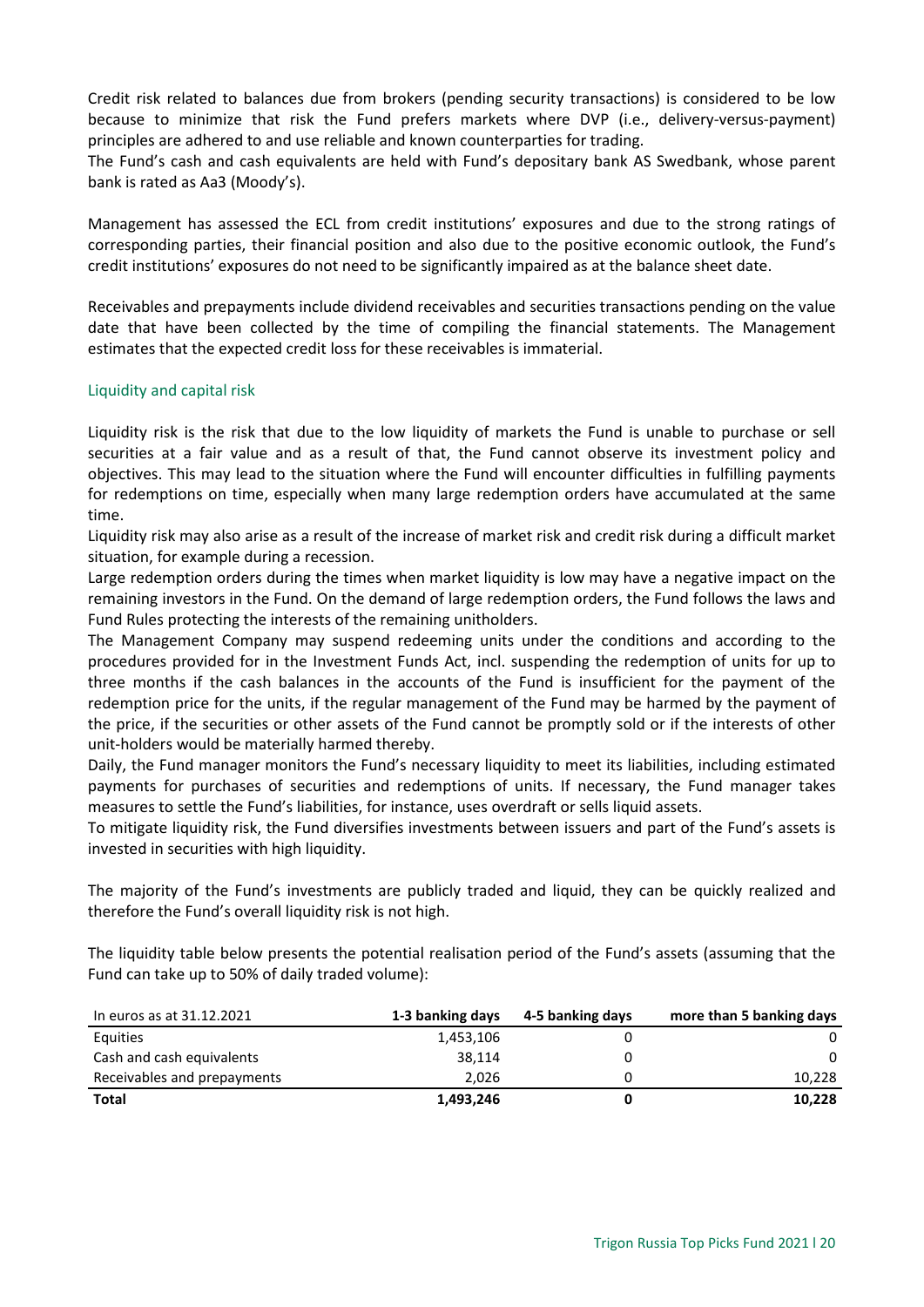Credit risk related to balances due from brokers (pending security transactions) is considered to be low because to minimize that risk the Fund prefers markets where DVP (i.e., delivery-versus-payment) principles are adhered to and use reliable and known counterparties for trading.

The Fund's cash and cash equivalents are held with Fund's depositary bank AS Swedbank, whose parent bank is rated as Aa3 (Moody's).

Management has assessed the ECL from credit institutions' exposures and due to the strong ratings of corresponding parties, their financial position and also due to the positive economic outlook, the Fund's credit institutions' exposures do not need to be significantly impaired as at the balance sheet date.

Receivables and prepayments include dividend receivables and securities transactions pending on the value date that have been collected by the time of compiling the financial statements. The Management estimates that the expected credit loss for these receivables is immaterial.

# Liquidity and capital risk

Liquidity risk is the risk that due to the low liquidity of markets the Fund is unable to purchase or sell securities at a fair value and as a result of that, the Fund cannot observe its investment policy and objectives. This may lead to the situation where the Fund will encounter difficulties in fulfilling payments for redemptions on time, especially when many large redemption orders have accumulated at the same time.

Liquidity risk may also arise as a result of the increase of market risk and credit risk during a difficult market situation, for example during a recession.

Large redemption orders during the times when market liquidity is low may have a negative impact on the remaining investors in the Fund. On the demand of large redemption orders, the Fund follows the laws and Fund Rules protecting the interests of the remaining unitholders.

The Management Company may suspend redeeming units under the conditions and according to the procedures provided for in the Investment Funds Act, incl. suspending the redemption of units for up to three months if the cash balances in the accounts of the Fund is insufficient for the payment of the redemption price for the units, if the regular management of the Fund may be harmed by the payment of the price, if the securities or other assets of the Fund cannot be promptly sold or if the interests of other unit-holders would be materially harmed thereby.

Daily, the Fund manager monitors the Fund's necessary liquidity to meet its liabilities, including estimated payments for purchases of securities and redemptions of units. If necessary, the Fund manager takes measures to settle the Fund's liabilities, for instance, uses overdraft or sells liquid assets.

To mitigate liquidity risk, the Fund diversifies investments between issuers and part of the Fund's assets is invested in securities with high liquidity.

The majority of the Fund's investments are publicly traded and liquid, they can be quickly realized and therefore the Fund's overall liquidity risk is not high.

The liquidity table below presents the potential realisation period of the Fund's assets (assuming that the Fund can take up to 50% of daily traded volume):

| In euros as at 31.12.2021   | 1-3 banking days | 4-5 banking days | more than 5 banking days |
|-----------------------------|------------------|------------------|--------------------------|
| Equities                    | 1,453,106        |                  | 0                        |
| Cash and cash equivalents   | 38.114           |                  | $\Omega$                 |
| Receivables and prepayments | 2.026            |                  | 10,228                   |
| <b>Total</b>                | 1,493,246        |                  | 10,228                   |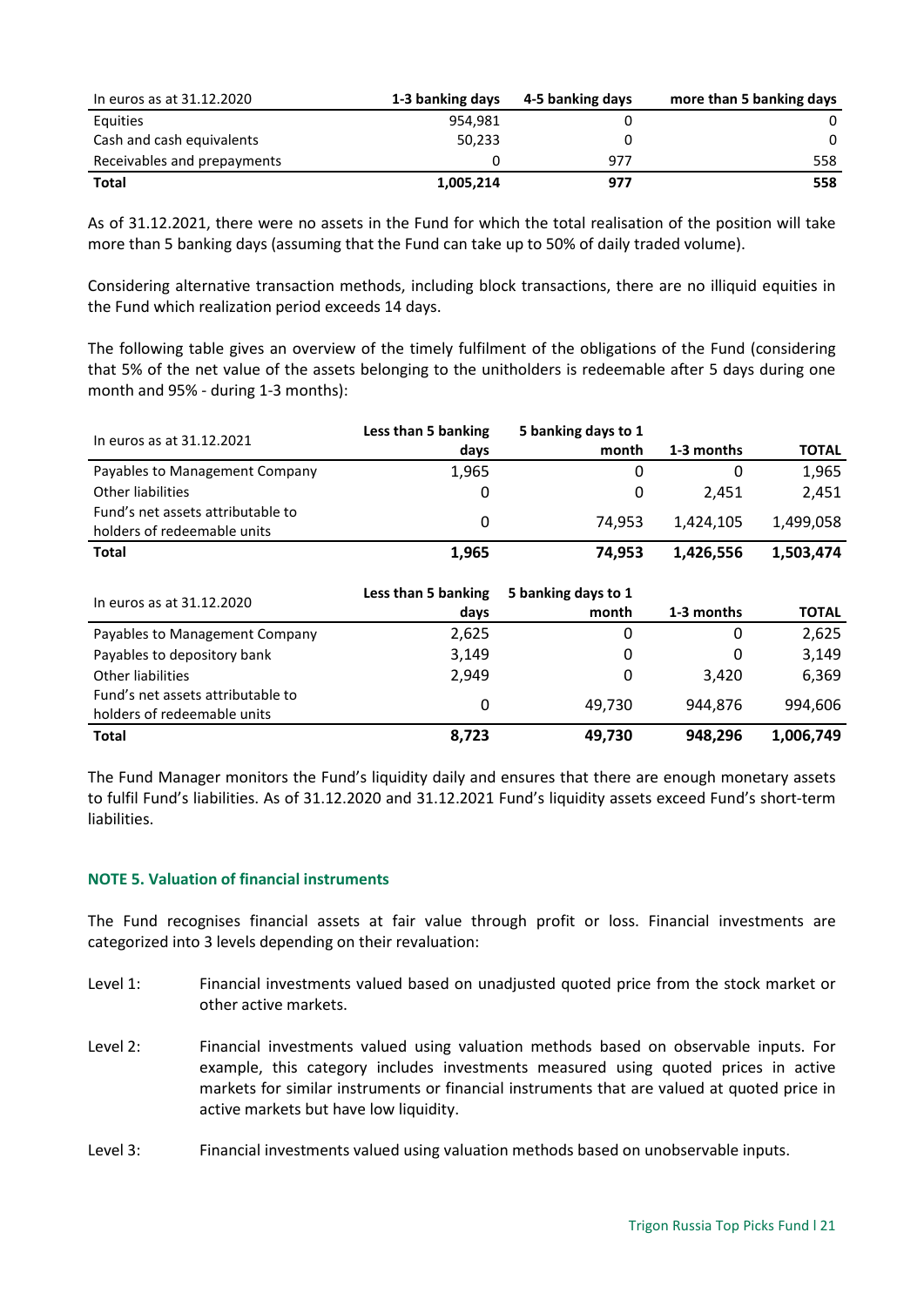| In euros as at 31.12.2020   | 1-3 banking days | 4-5 banking days | more than 5 banking days |
|-----------------------------|------------------|------------------|--------------------------|
| Equities                    | 954.981          |                  | 0                        |
| Cash and cash equivalents   | 50.233           |                  | $\Omega$                 |
| Receivables and prepayments |                  | 977              | 558                      |
| <b>Total</b>                | 1,005,214        | 977              | 558                      |

As of 31.12.2021, there were no assets in the Fund for which the total realisation of the position will take more than 5 banking days (assuming that the Fund can take up to 50% of daily traded volume).

Considering alternative transaction methods, including block transactions, there are no illiquid equities in the Fund which realization period exceeds 14 days.

The following table gives an overview of the timely fulfilment of the obligations of the Fund (considering that 5% of the net value of the assets belonging to the unitholders is redeemable after 5 days during one month and 95% - during 1-3 months):

| In euros as at 31.12.2021                                        | Less than 5 banking | 5 banking days to 1 |            |              |
|------------------------------------------------------------------|---------------------|---------------------|------------|--------------|
|                                                                  | days                | month               | 1-3 months | <b>TOTAL</b> |
| Payables to Management Company                                   | 1,965               |                     | O          | 1,965        |
| Other liabilities                                                |                     | 0                   | 2.451      | 2,451        |
| Fund's net assets attributable to<br>holders of redeemable units | 0                   | 74.953              | 1.424.105  | 1,499,058    |
| <b>Total</b>                                                     | 1,965               | 74.953              | 1,426,556  | 1,503,474    |

| In euros as at 31.12.2020                                        | Less than 5 banking<br>days | 5 banking days to 1<br>month | 1-3 months | <b>TOTAL</b> |
|------------------------------------------------------------------|-----------------------------|------------------------------|------------|--------------|
| Payables to Management Company                                   | 2,625                       | 0                            | 0          | 2,625        |
| Payables to depository bank                                      | 3,149                       | 0                            | 0          | 3,149        |
| Other liabilities                                                | 2.949                       | 0                            | 3.420      | 6,369        |
| Fund's net assets attributable to<br>holders of redeemable units | 0                           | 49.730                       | 944.876    | 994,606      |
| <b>Total</b>                                                     | 8,723                       | 49.730                       | 948.296    | 1,006,749    |

The Fund Manager monitors the Fund's liquidity daily and ensures that there are enough monetary assets to fulfil Fund's liabilities. As of 31.12.2020 and 31.12.2021 Fund's liquidity assets exceed Fund's short-term liabilities.

# <span id="page-20-0"></span>**NOTE 5. Valuation of financial instruments**

The Fund recognises financial assets at fair value through profit or loss. Financial investments are categorized into 3 levels depending on their revaluation:

- Level 1: Financial investments valued based on unadjusted quoted price from the stock market or other active markets.
- Level 2: Financial investments valued using valuation methods based on observable inputs. For example, this category includes investments measured using quoted prices in active markets for similar instruments or financial instruments that are valued at quoted price in active markets but have low liquidity.
- Level 3: Financial investments valued using valuation methods based on unobservable inputs.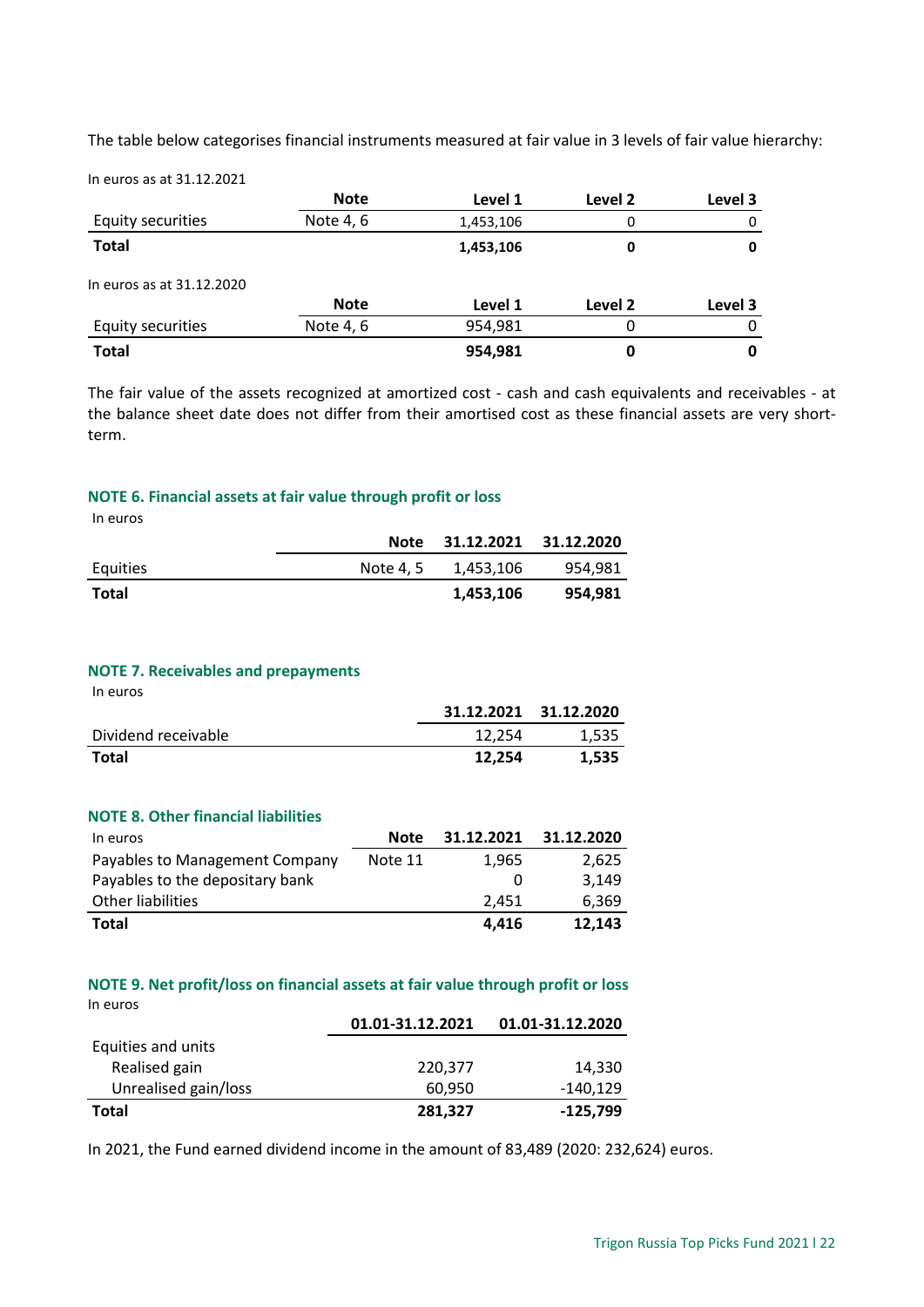The table below categorises financial instruments measured at fair value in 3 levels of fair value hierarchy:

In euros as at 31.12.2021

|                           | <b>Note</b> | Level 1   | Level 2 | Level 3 |
|---------------------------|-------------|-----------|---------|---------|
| Equity securities         | Note 4, 6   | 1,453,106 | 0       | 0       |
| <b>Total</b>              |             | 1,453,106 | 0       | 0       |
| In euros as at 31.12.2020 |             |           |         |         |
|                           | <b>Note</b> | Level 1   | Level 2 | Level 3 |
| Equity securities         | Note 4, 6   | 954,981   | 0       | O       |
| <b>Total</b>              |             | 954,981   | 0       |         |

The fair value of the assets recognized at amortized cost - cash and cash equivalents and receivables - at the balance sheet date does not differ from their amortised cost as these financial assets are very shortterm.

# <span id="page-21-0"></span>**NOTE 6. Financial assets at fair value through profit or loss**

In euros

|          | <b>Note</b> | 31.12.2021 | 31.12.2020 |
|----------|-------------|------------|------------|
| Equities | Note 4.5    | 1,453,106  | 954,981    |
| Total    |             | 1,453,106  | 954,981    |

# <span id="page-21-1"></span>**NOTE 7. Receivables and prepayments**

In euros

|                     |        | 31.12.2021 31.12.2020 |
|---------------------|--------|-----------------------|
| Dividend receivable | 12.254 | 1.535                 |
| Total               | 12.254 | 1.535                 |

#### <span id="page-21-2"></span>**NOTE 8. Other financial liabilities**

| In euros                        | <b>Note</b> | 31.12.2021 | 31.12.2020 |
|---------------------------------|-------------|------------|------------|
| Payables to Management Company  | Note 11     | 1.965      | 2.625      |
| Payables to the depositary bank |             |            | 3.149      |
| Other liabilities               |             | 2.451      | 6,369      |
| <b>Total</b>                    |             | 4.416      | 12.143     |

# <span id="page-21-3"></span>**NOTE 9. Net profit/loss on financial assets at fair value through profit or loss** In euros

|                      | 01.01-31.12.2021 | 01.01-31.12.2020 |
|----------------------|------------------|------------------|
| Equities and units   |                  |                  |
| Realised gain        | 220,377          | 14.330           |
| Unrealised gain/loss | 60.950           | $-140.129$       |
| Total                | 281,327          | -125,799         |

In 2021, the Fund earned dividend income in the amount of 83,489 (2020: 232,624) euros.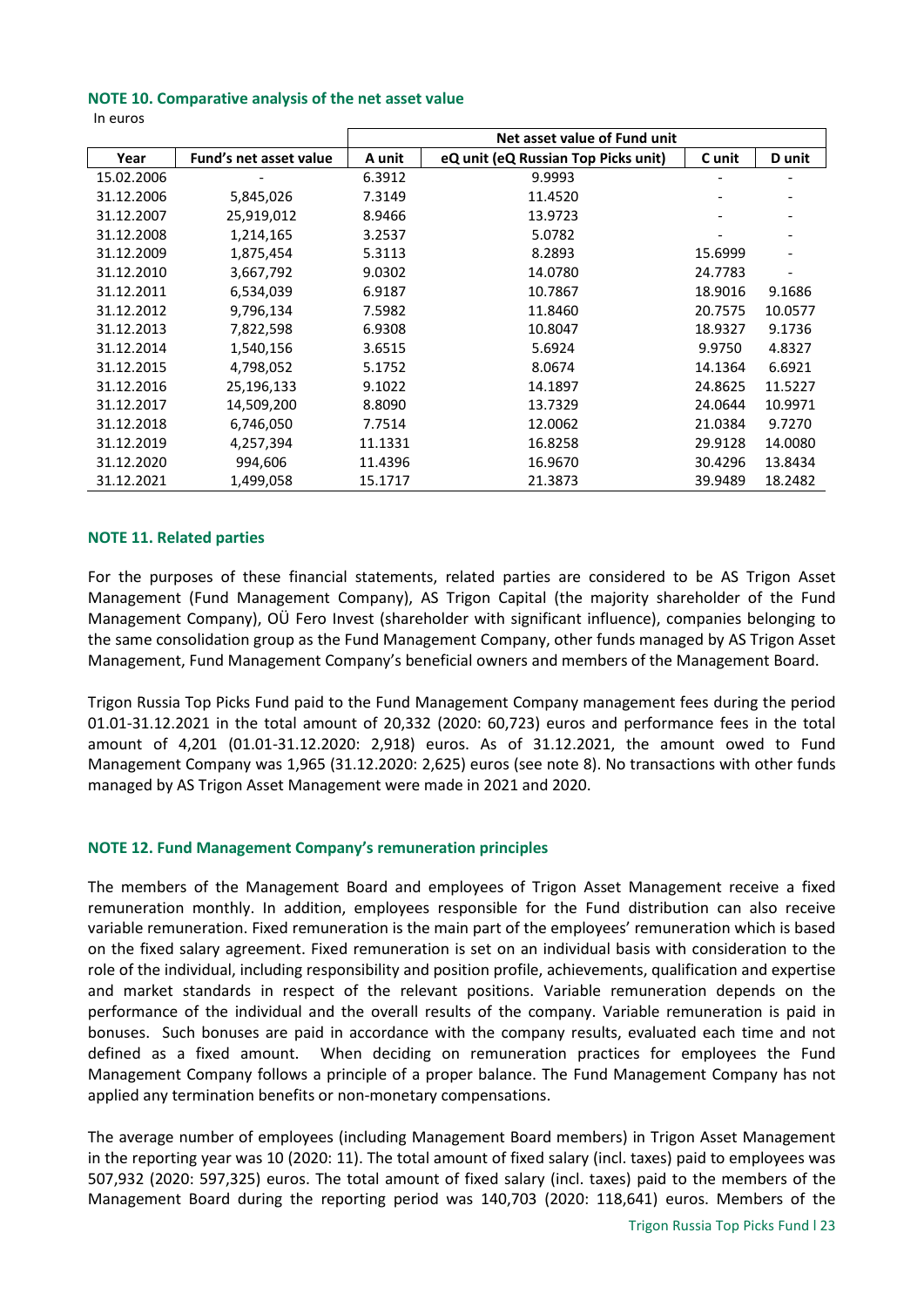#### <span id="page-22-0"></span>**NOTE 10. Comparative analysis of the net asset value**

| In euros |
|----------|
|----------|

|            |                               |         | Net asset value of Fund unit        |         |         |
|------------|-------------------------------|---------|-------------------------------------|---------|---------|
| Year       | <b>Fund's net asset value</b> | A unit  | eQ unit (eQ Russian Top Picks unit) | C unit  | D unit  |
| 15.02.2006 |                               | 6.3912  | 9.9993                              |         |         |
| 31.12.2006 | 5,845,026                     | 7.3149  | 11.4520                             |         |         |
| 31.12.2007 | 25,919,012                    | 8.9466  | 13.9723                             |         |         |
| 31.12.2008 | 1,214,165                     | 3.2537  | 5.0782                              |         |         |
| 31.12.2009 | 1,875,454                     | 5.3113  | 8.2893                              | 15.6999 |         |
| 31.12.2010 | 3,667,792                     | 9.0302  | 14.0780                             | 24.7783 |         |
| 31.12.2011 | 6,534,039                     | 6.9187  | 10.7867                             | 18.9016 | 9.1686  |
| 31.12.2012 | 9,796,134                     | 7.5982  | 11.8460                             | 20.7575 | 10.0577 |
| 31.12.2013 | 7,822,598                     | 6.9308  | 10.8047                             | 18.9327 | 9.1736  |
| 31.12.2014 | 1,540,156                     | 3.6515  | 5.6924                              | 9.9750  | 4.8327  |
| 31.12.2015 | 4,798,052                     | 5.1752  | 8.0674                              | 14.1364 | 6.6921  |
| 31.12.2016 | 25,196,133                    | 9.1022  | 14.1897                             | 24.8625 | 11.5227 |
| 31.12.2017 | 14,509,200                    | 8.8090  | 13.7329                             | 24.0644 | 10.9971 |
| 31.12.2018 | 6,746,050                     | 7.7514  | 12.0062                             | 21.0384 | 9.7270  |
| 31.12.2019 | 4,257,394                     | 11.1331 | 16.8258                             | 29.9128 | 14.0080 |
| 31.12.2020 | 994,606                       | 11.4396 | 16.9670                             | 30.4296 | 13.8434 |
| 31.12.2021 | 1,499,058                     | 15.1717 | 21.3873                             | 39.9489 | 18.2482 |

#### <span id="page-22-1"></span>**NOTE 11. Related parties**

For the purposes of these financial statements, related parties are considered to be AS Trigon Asset Management (Fund Management Company), AS Trigon Capital (the majority shareholder of the Fund Management Company), OÜ Fero Invest (shareholder with significant influence), companies belonging to the same consolidation group as the Fund Management Company, other funds managed by AS Trigon Asset Management, Fund Management Company's beneficial owners and members of the Management Board.

Trigon Russia Top Picks Fund paid to the Fund Management Company management fees during the period 01.01-31.12.2021 in the total amount of 20,332 (2020: 60,723) euros and performance fees in the total amount of 4,201 (01.01-31.12.2020: 2,918) euros. As of 31.12.2021, the amount owed to Fund Management Company was 1,965 (31.12.2020: 2,625) euros (see note 8). No transactions with other funds managed by AS Trigon Asset Management were made in 2021 and 2020.

# <span id="page-22-2"></span>**NOTE 12. Fund Management Company's remuneration principles**

The members of the Management Board and employees of Trigon Asset Management receive a fixed remuneration monthly. In addition, employees responsible for the Fund distribution can also receive variable remuneration. Fixed remuneration is the main part of the employees' remuneration which is based on the fixed salary agreement. Fixed remuneration is set on an individual basis with consideration to the role of the individual, including responsibility and position profile, achievements, qualification and expertise and market standards in respect of the relevant positions. Variable remuneration depends on the performance of the individual and the overall results of the company. Variable remuneration is paid in bonuses. Such bonuses are paid in accordance with the company results, evaluated each time and not defined as a fixed amount. When deciding on remuneration practices for employees the Fund Management Company follows a principle of a proper balance. The Fund Management Company has not applied any termination benefits or non-monetary compensations.

The average number of employees (including Management Board members) in Trigon Asset Management in the reporting year was 10 (2020: 11). The total amount of fixed salary (incl. taxes) paid to employees was 507,932 (2020: 597,325) euros. The total amount of fixed salary (incl. taxes) paid to the members of the Management Board during the reporting period was 140,703 (2020: 118,641) euros. Members of the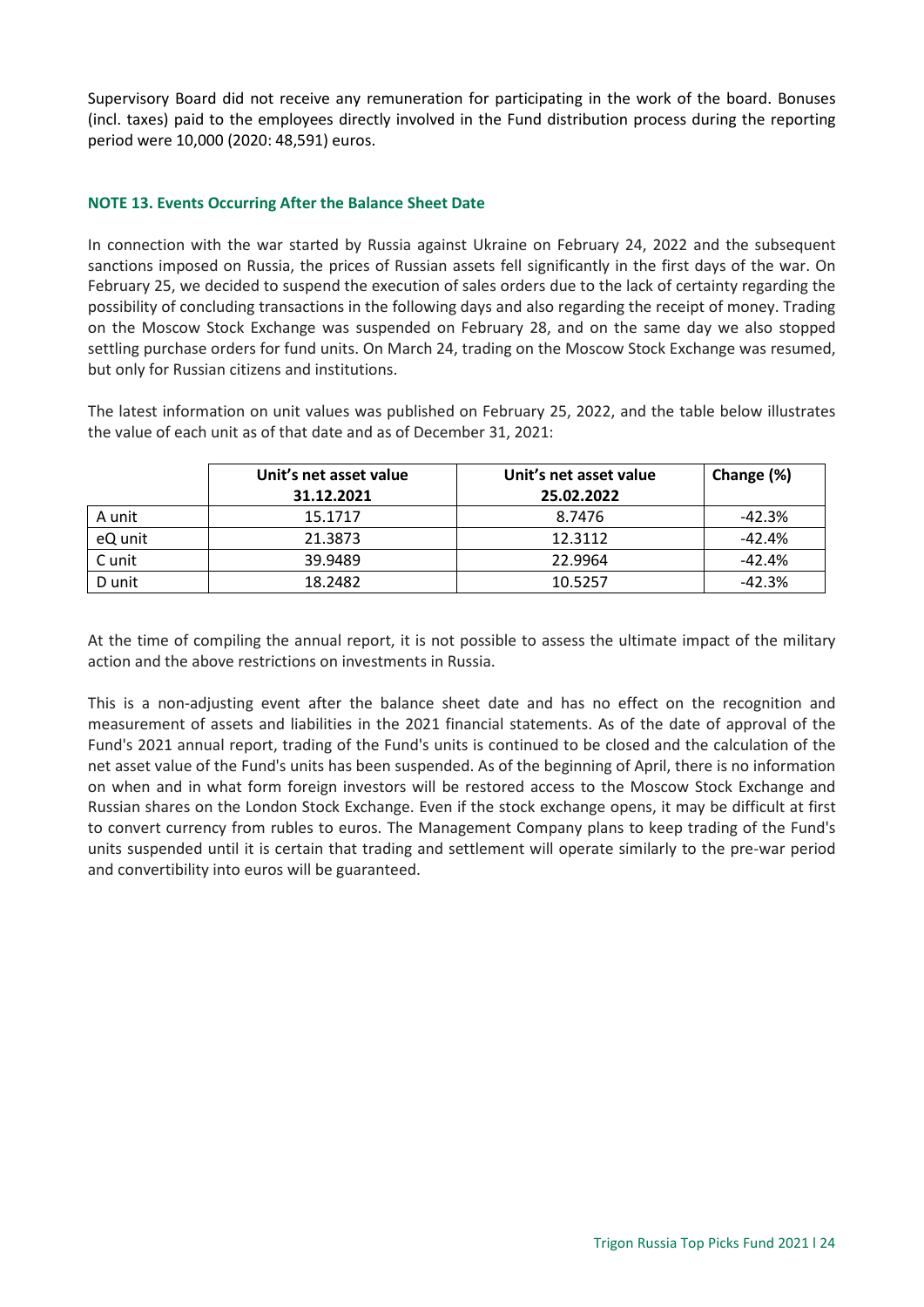Supervisory Board did not receive any remuneration for participating in the work of the board. Bonuses (incl. taxes) paid to the employees directly involved in the Fund distribution process during the reporting period were 10,000 (2020: 48,591) euros.

# <span id="page-23-0"></span>**NOTE 13. Events Occurring After the Balance Sheet Date**

In connection with the war started by Russia against Ukraine on February 24, 2022 and the subsequent sanctions imposed on Russia, the prices of Russian assets fell significantly in the first days of the war. On February 25, we decided to suspend the execution of sales orders due to the lack of certainty regarding the possibility of concluding transactions in the following days and also regarding the receipt of money. Trading on the Moscow Stock Exchange was suspended on February 28, and on the same day we also stopped settling purchase orders for fund units. On March 24, trading on the Moscow Stock Exchange was resumed, but only for Russian citizens and institutions.

The latest information on unit values was published on February 25, 2022, and the table below illustrates the value of each unit as of that date and as of December 31, 2021:

|         | Unit's net asset value | Unit's net asset value | Change (%) |
|---------|------------------------|------------------------|------------|
|         | 31.12.2021             | 25.02.2022             |            |
| A unit  | 15.1717                | 8.7476                 | $-42.3%$   |
| eQ unit | 21.3873                | 12.3112                | $-42.4%$   |
| C unit  | 39.9489                | 22.9964                | $-42.4%$   |
| D unit  | 18.2482                | 10.5257                | $-42.3%$   |

At the time of compiling the annual report, it is not possible to assess the ultimate impact of the military action and the above restrictions on investments in Russia.

This is a non-adjusting event after the balance sheet date and has no effect on the recognition and measurement of assets and liabilities in the 2021 financial statements. As of the date of approval of the Fund's 2021 annual report, trading of the Fund's units is continued to be closed and the calculation of the net asset value of the Fund's units has been suspended. As of the beginning of April, there is no information on when and in what form foreign investors will be restored access to the Moscow Stock Exchange and Russian shares on the London Stock Exchange. Even if the stock exchange opens, it may be difficult at first to convert currency from rubles to euros. The Management Company plans to keep trading of the Fund's units suspended until it is certain that trading and settlement will operate similarly to the pre-war period and convertibility into euros will be guaranteed.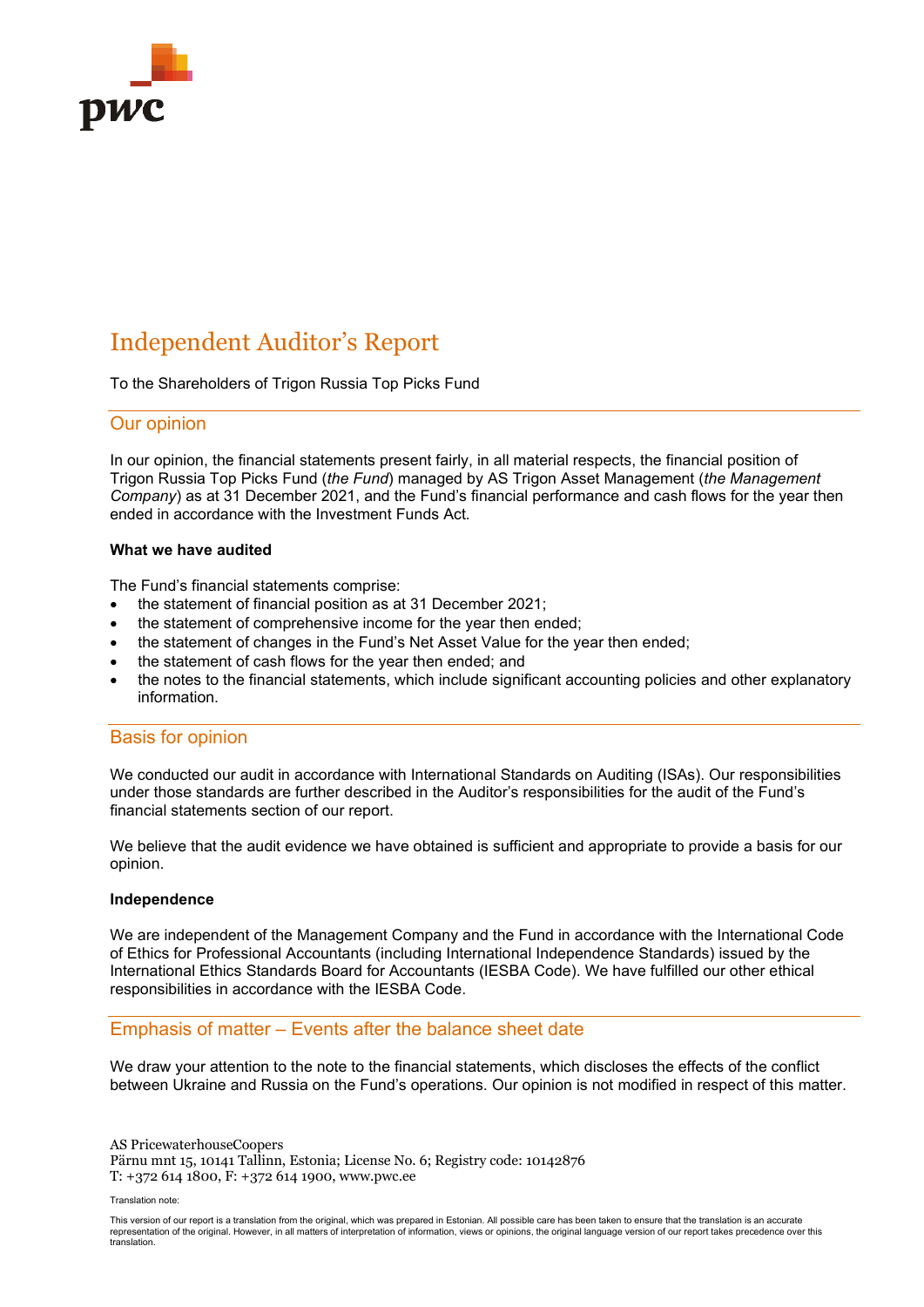<span id="page-24-0"></span>

# Independent Auditor's Report

To the Shareholders of Trigon Russia Top Picks Fund

#### Our opinion

In our opinion, the financial statements present fairly, in all material respects, the financial position of Trigon Russia Top Picks Fund (*the Fund*) managed by AS Trigon Asset Management (*the Management Company*) as at 31 December 2021, and the Fund's financial performance and cash flows for the year then ended in accordance with the Investment Funds Act*.*

#### **What we have audited**

The Fund's financial statements comprise:

- the statement of financial position as at 31 December 2021;
- the statement of comprehensive income for the year then ended:
- the statement of changes in the Fund's Net Asset Value for the year then ended;
- the statement of cash flows for the year then ended; and
- the notes to the financial statements, which include significant accounting policies and other explanatory information.

#### Basis for opinion

We conducted our audit in accordance with International Standards on Auditing (ISAs). Our responsibilities under those standards are further described in the Auditor's responsibilities for the audit of the Fund's financial statements section of our report.

We believe that the audit evidence we have obtained is sufficient and appropriate to provide a basis for our opinion.

#### **Independence**

We are independent of the Management Company and the Fund in accordance with the International Code of Ethics for Professional Accountants (including International Independence Standards) issued by the International Ethics Standards Board for Accountants (IESBA Code). We have fulfilled our other ethical responsibilities in accordance with the IESBA Code.

# Emphasis of matter – Events after the balance sheet date

We draw your attention to the note to the financial statements, which discloses the effects of the conflict between Ukraine and Russia on the Fund's operations. Our opinion is not modified in respect of this matter.

AS PricewaterhouseCoopers Pärnu mnt 15, 10141 Tallinn, Estonia; License No. 6; Registry code: 10142876 T: +372 614 1800, F: +372 614 1900, www.pwc.ee

Translation note:

This version of our report is a translation from the original, which was prepared in Estonian. All possible care has been taken to ensure that the translation is an accurate representation of the original. However, in all matters of interpretation of information, views or opinions, the original language version of our report takes precedence over this translation.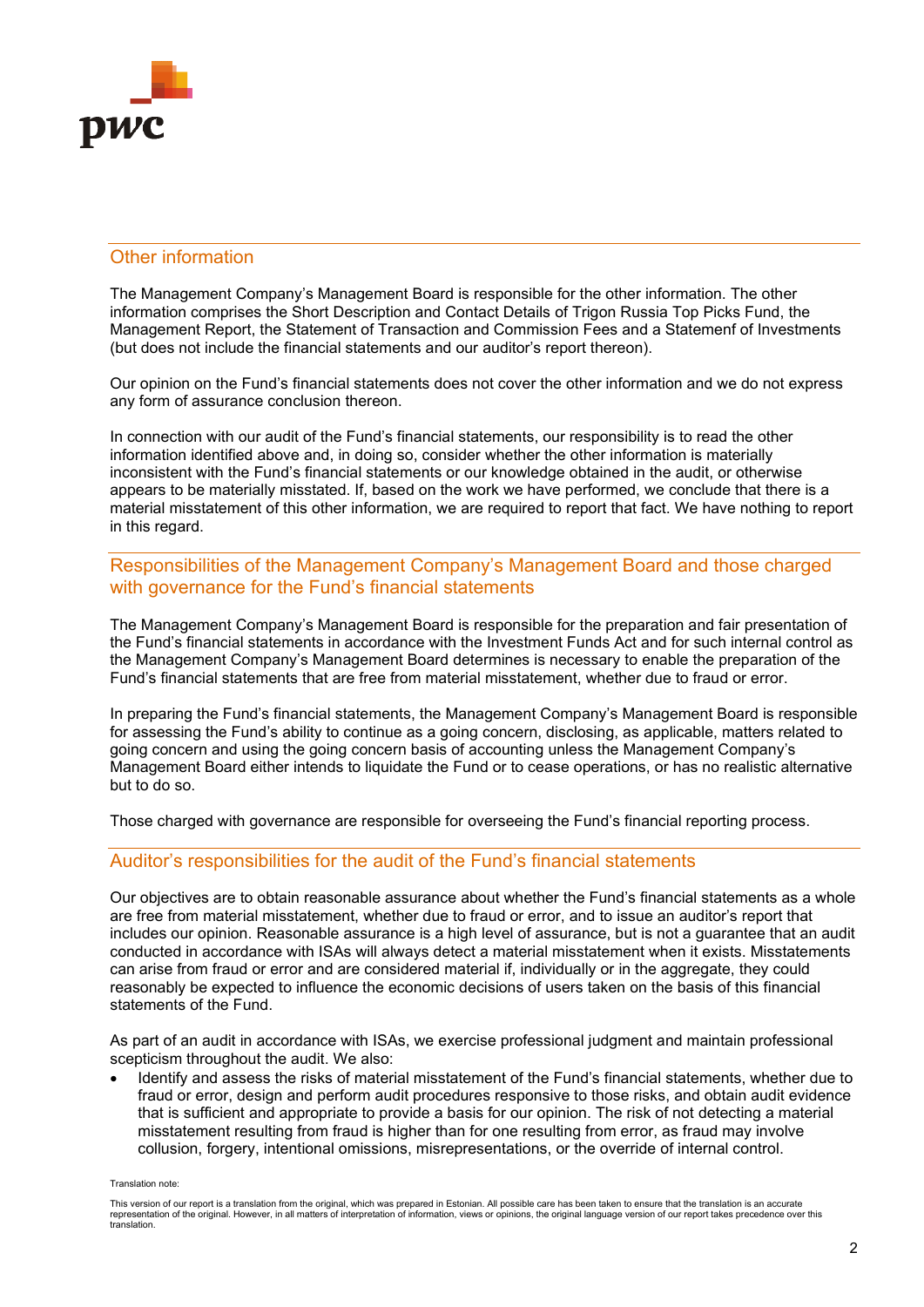

# Other information

The Management Company's Management Board is responsible for the other information. The other information comprises the Short Description and Contact Details of Trigon Russia Top Picks Fund, the Management Report, the Statement of Transaction and Commission Fees and a Statemenf of Investments (but does not include the financial statements and our auditor's report thereon).

Our opinion on the Fund's financial statements does not cover the other information and we do not express any form of assurance conclusion thereon.

In connection with our audit of the Fund's financial statements, our responsibility is to read the other information identified above and, in doing so, consider whether the other information is materially inconsistent with the Fund's financial statements or our knowledge obtained in the audit, or otherwise appears to be materially misstated. If, based on the work we have performed, we conclude that there is a material misstatement of this other information, we are required to report that fact. We have nothing to report in this regard.

# Responsibilities of the Management Company's Management Board and those charged with governance for the Fund's financial statements

The Management Company's Management Board is responsible for the preparation and fair presentation of the Fund's financial statements in accordance with the Investment Funds Act and for such internal control as the Management Company's Management Board determines is necessary to enable the preparation of the Fund's financial statements that are free from material misstatement, whether due to fraud or error.

In preparing the Fund's financial statements, the Management Company's Management Board is responsible for assessing the Fund's ability to continue as a going concern, disclosing, as applicable, matters related to going concern and using the going concern basis of accounting unless the Management Company's Management Board either intends to liquidate the Fund or to cease operations, or has no realistic alternative but to do so.

Those charged with governance are responsible for overseeing the Fund's financial reporting process.

# Auditor's responsibilities for the audit of the Fund's financial statements

Our objectives are to obtain reasonable assurance about whether the Fund's financial statements as a whole are free from material misstatement, whether due to fraud or error, and to issue an auditor's report that includes our opinion. Reasonable assurance is a high level of assurance, but is not a guarantee that an audit conducted in accordance with ISAs will always detect a material misstatement when it exists. Misstatements can arise from fraud or error and are considered material if, individually or in the aggregate, they could reasonably be expected to influence the economic decisions of users taken on the basis of this financial statements of the Fund.

As part of an audit in accordance with ISAs, we exercise professional judgment and maintain professional scepticism throughout the audit. We also:

• Identify and assess the risks of material misstatement of the Fund's financial statements, whether due to fraud or error, design and perform audit procedures responsive to those risks, and obtain audit evidence that is sufficient and appropriate to provide a basis for our opinion. The risk of not detecting a material misstatement resulting from fraud is higher than for one resulting from error, as fraud may involve collusion, forgery, intentional omissions, misrepresentations, or the override of internal control.

Translation note:

This version of our report is a translation from the original, which was prepared in Estonian. All possible care has been taken to ensure that the translation is an accurate representation of the original. However, in all matters of interpretation of information, views or opinions, the original language version of our report takes precedence over this translation.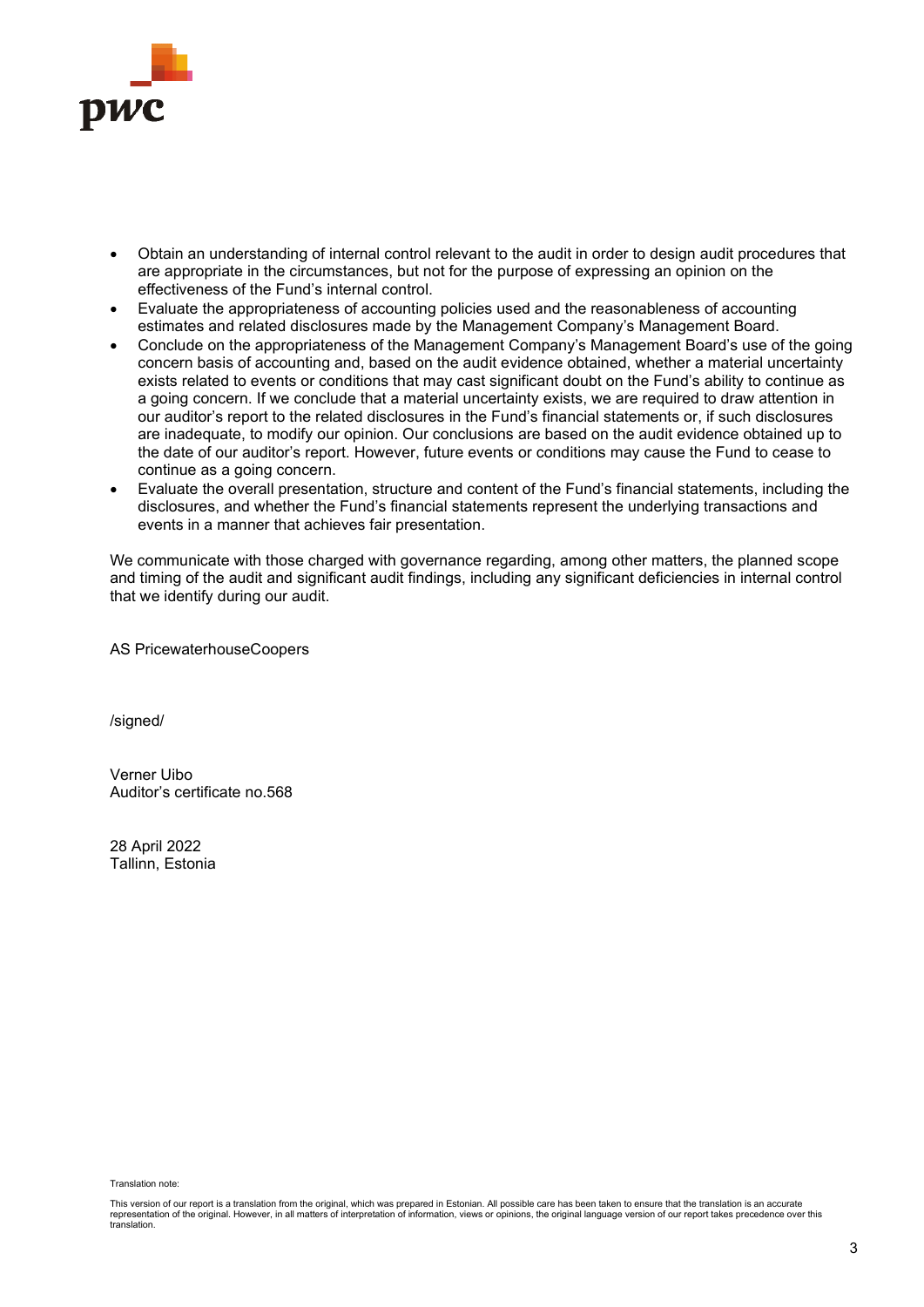

- Obtain an understanding of internal control relevant to the audit in order to design audit procedures that are appropriate in the circumstances, but not for the purpose of expressing an opinion on the effectiveness of the Fund's internal control.
- Evaluate the appropriateness of accounting policies used and the reasonableness of accounting estimates and related disclosures made by the Management Company's Management Board.
- Conclude on the appropriateness of the Management Company's Management Board's use of the going concern basis of accounting and, based on the audit evidence obtained, whether a material uncertainty exists related to events or conditions that may cast significant doubt on the Fund's ability to continue as a going concern. If we conclude that a material uncertainty exists, we are required to draw attention in our auditor's report to the related disclosures in the Fund's financial statements or, if such disclosures are inadequate, to modify our opinion. Our conclusions are based on the audit evidence obtained up to the date of our auditor's report. However, future events or conditions may cause the Fund to cease to continue as a going concern.
- Evaluate the overall presentation, structure and content of the Fund's financial statements, including the disclosures, and whether the Fund's financial statements represent the underlying transactions and events in a manner that achieves fair presentation.

We communicate with those charged with governance regarding, among other matters, the planned scope and timing of the audit and significant audit findings, including any significant deficiencies in internal control that we identify during our audit.

AS PricewaterhouseCoopers

/signed/

Verner Uibo Auditor's certificate no.568

28 April 2022 Tallinn, Estonia

<span id="page-26-0"></span>Translation note:

This version of our report is a translation from the original, which was prepared in Estonian. All possible care has been taken to ensure that the translation is an accurate representation of the original. However, in all matters of interpretation of information, views or opinions, the original language version of our report takes precedence over this translation.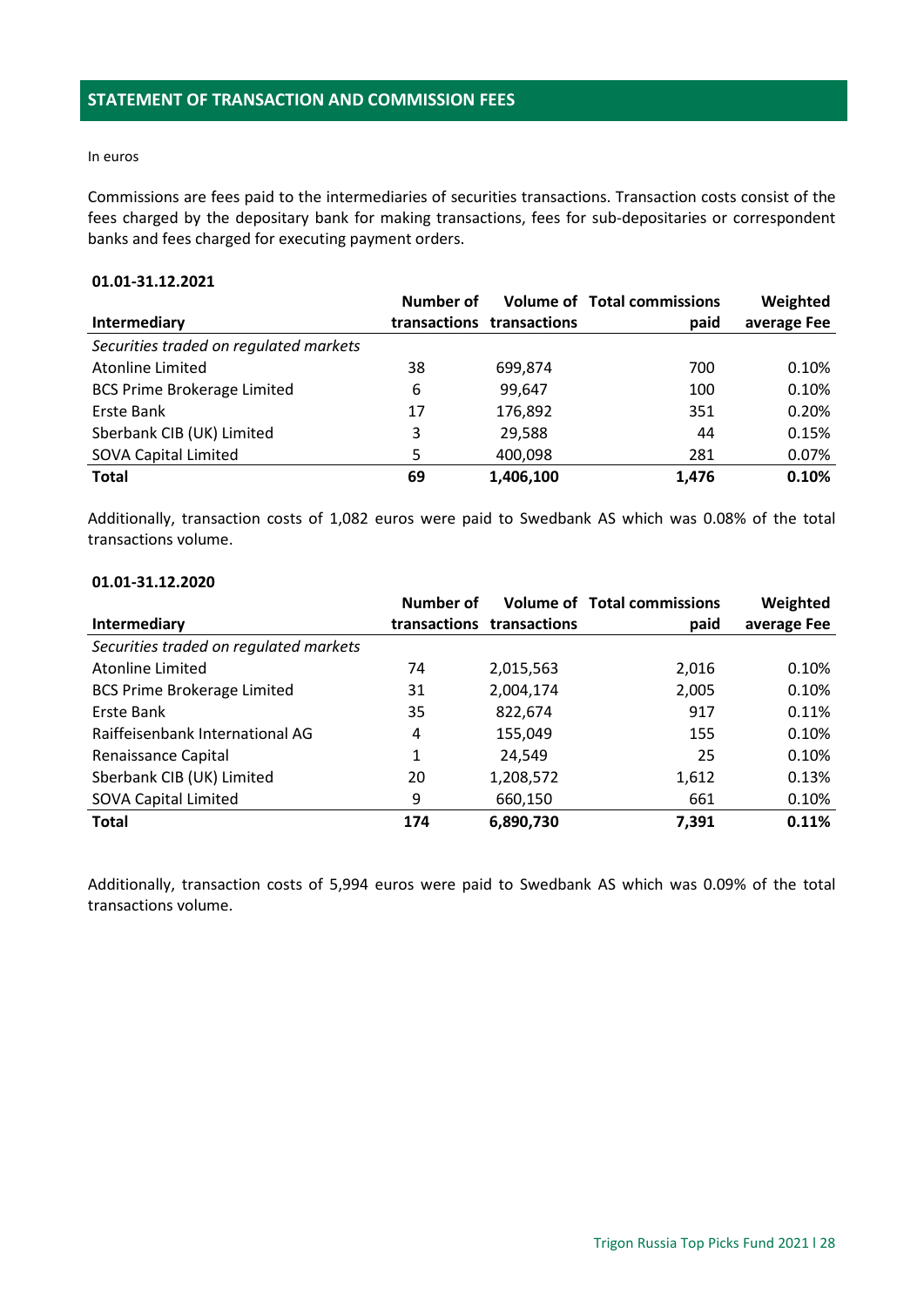#### In euros

Commissions are fees paid to the intermediaries of securities transactions. Transaction costs consist of the fees charged by the depositary bank for making transactions, fees for sub-depositaries or correspondent banks and fees charged for executing payment orders.

# **01.01-31.12.2021**

|                                        | Number of |                           | <b>Volume of Total commissions</b> | Weighted    |
|----------------------------------------|-----------|---------------------------|------------------------------------|-------------|
| Intermediary                           |           | transactions transactions | paid                               | average Fee |
| Securities traded on regulated markets |           |                           |                                    |             |
| <b>Atonline Limited</b>                | 38        | 699,874                   | 700                                | 0.10%       |
| <b>BCS Prime Brokerage Limited</b>     | 6         | 99,647                    | 100                                | 0.10%       |
| Erste Bank                             | 17        | 176,892                   | 351                                | 0.20%       |
| Sberbank CIB (UK) Limited              | 3         | 29,588                    | 44                                 | 0.15%       |
| <b>SOVA Capital Limited</b>            | 5         | 400,098                   | 281                                | 0.07%       |
| <b>Total</b>                           | 69        | 1,406,100                 | 1,476                              | 0.10%       |

Additionally, transaction costs of 1,082 euros were paid to Swedbank AS which was 0.08% of the total transactions volume.

#### **01.01-31.12.2020**

|                                        | <b>Number of</b> |                           | <b>Volume of Total commissions</b> | Weighted    |
|----------------------------------------|------------------|---------------------------|------------------------------------|-------------|
| <b>Intermediary</b>                    |                  | transactions transactions | paid                               | average Fee |
| Securities traded on regulated markets |                  |                           |                                    |             |
| <b>Atonline Limited</b>                | 74               | 2,015,563                 | 2,016                              | 0.10%       |
| <b>BCS Prime Brokerage Limited</b>     | 31               | 2,004,174                 | 2,005                              | 0.10%       |
| Erste Bank                             | 35               | 822,674                   | 917                                | 0.11%       |
| Raiffeisenbank International AG        | 4                | 155,049                   | 155                                | 0.10%       |
| Renaissance Capital                    | 1                | 24,549                    | 25                                 | 0.10%       |
| Sberbank CIB (UK) Limited              | 20               | 1,208,572                 | 1,612                              | 0.13%       |
| SOVA Capital Limited                   | 9                | 660,150                   | 661                                | 0.10%       |
| <b>Total</b>                           | 174              | 6,890,730                 | 7,391                              | 0.11%       |

Additionally, transaction costs of 5,994 euros were paid to Swedbank AS which was 0.09% of the total transactions volume.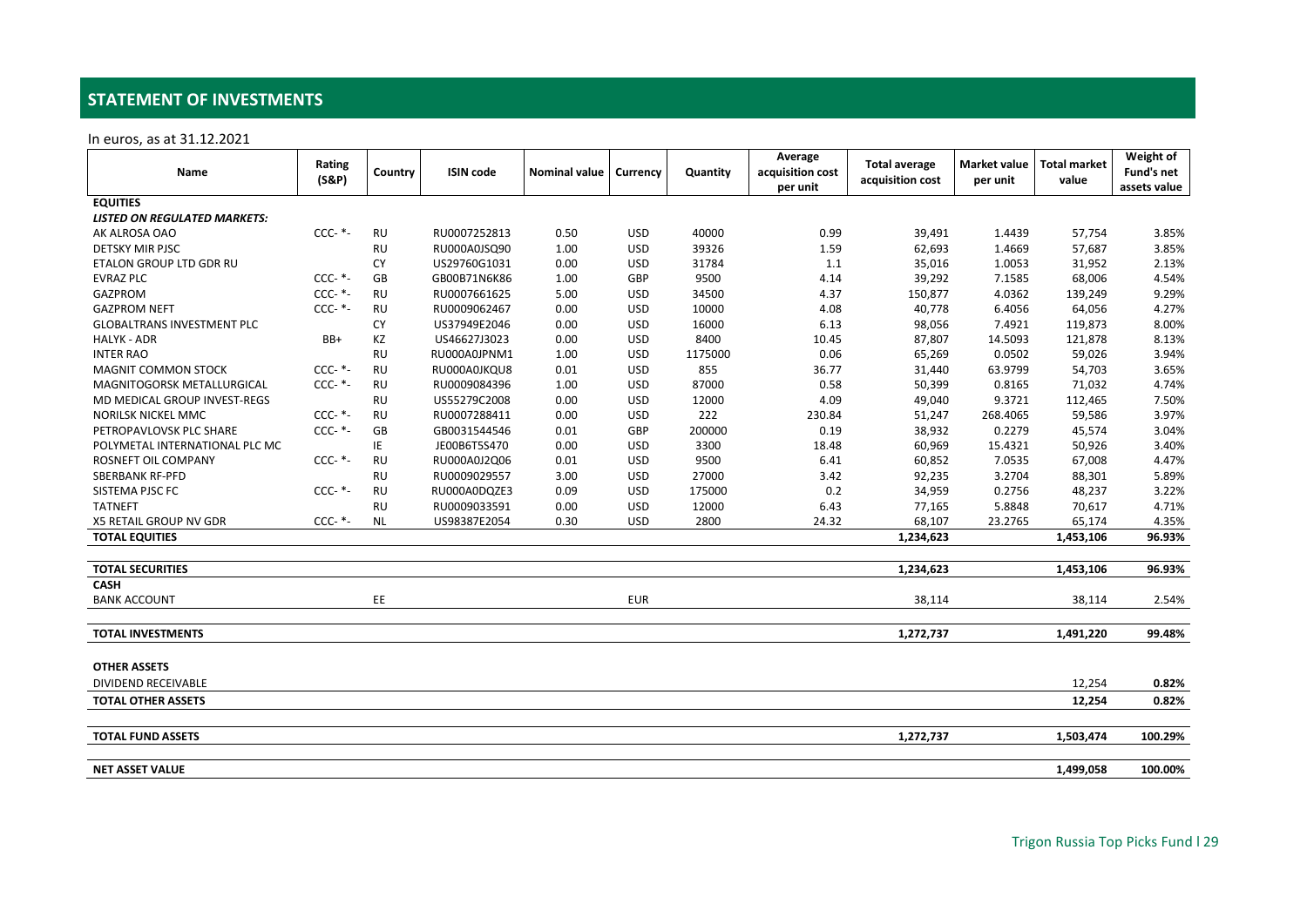# **STATEMENT OF INVESTMENTS**

In euros, as at 31.12.2021

<span id="page-28-0"></span>

| Name                                | Rating<br>$(S\&P)$ | Country   | <b>ISIN</b> code | <b>Nominal value</b> | Currency   | Quantity | Average<br>acquisition cost<br>per unit | <b>Total average</b><br>acquisition cost | Market value<br>per unit | <b>Total market</b><br>value | Weight of<br>Fund's net<br>assets value |
|-------------------------------------|--------------------|-----------|------------------|----------------------|------------|----------|-----------------------------------------|------------------------------------------|--------------------------|------------------------------|-----------------------------------------|
| <b>EQUITIES</b>                     |                    |           |                  |                      |            |          |                                         |                                          |                          |                              |                                         |
| <b>LISTED ON REGULATED MARKETS:</b> |                    |           |                  |                      |            |          |                                         |                                          |                          |                              |                                         |
| AK ALROSA OAO                       | $CCC-$ *-          | <b>RU</b> | RU0007252813     | 0.50                 | <b>USD</b> | 40000    | 0.99                                    | 39,491                                   | 1.4439                   | 57,754                       | 3.85%                                   |
| <b>DETSKY MIR PJSC</b>              |                    | <b>RU</b> | RU000A0JSQ90     | 1.00                 | <b>USD</b> | 39326    | 1.59                                    | 62,693                                   | 1.4669                   | 57,687                       | 3.85%                                   |
| ETALON GROUP LTD GDR RU             |                    | <b>CY</b> | US29760G1031     | 0.00                 | <b>USD</b> | 31784    | 1.1                                     | 35,016                                   | 1.0053                   | 31,952                       | 2.13%                                   |
| <b>EVRAZ PLC</b>                    | $CCC-$ *-          | GB        | GB00B71N6K86     | 1.00                 | <b>GBP</b> | 9500     | 4.14                                    | 39,292                                   | 7.1585                   | 68,006                       | 4.54%                                   |
| <b>GAZPROM</b>                      | $CCC-$ *-          | <b>RU</b> | RU0007661625     | 5.00                 | <b>USD</b> | 34500    | 4.37                                    | 150,877                                  | 4.0362                   | 139,249                      | 9.29%                                   |
| <b>GAZPROM NEFT</b>                 | $CCC-$ *-          | <b>RU</b> | RU0009062467     | 0.00                 | <b>USD</b> | 10000    | 4.08                                    | 40,778                                   | 6.4056                   | 64,056                       | 4.27%                                   |
| <b>GLOBALTRANS INVESTMENT PLC</b>   |                    | <b>CY</b> | US37949E2046     | 0.00                 | <b>USD</b> | 16000    | 6.13                                    | 98,056                                   | 7.4921                   | 119,873                      | 8.00%                                   |
| <b>HALYK - ADR</b>                  | BB+                | ΚZ        | US46627J3023     | 0.00                 | <b>USD</b> | 8400     | 10.45                                   | 87,807                                   | 14.5093                  | 121,878                      | 8.13%                                   |
| <b>INTER RAO</b>                    |                    | <b>RU</b> | RU000A0JPNM1     | 1.00                 | <b>USD</b> | 1175000  | 0.06                                    | 65,269                                   | 0.0502                   | 59,026                       | 3.94%                                   |
| MAGNIT COMMON STOCK                 | $CCC-$ *-          | <b>RU</b> | RU000A0JKQU8     | 0.01                 | <b>USD</b> | 855      | 36.77                                   | 31,440                                   | 63.9799                  | 54,703                       | 3.65%                                   |
| MAGNITOGORSK METALLURGICAL          | $CCC-$ *-          | <b>RU</b> | RU0009084396     | 1.00                 | <b>USD</b> | 87000    | 0.58                                    | 50,399                                   | 0.8165                   | 71,032                       | 4.74%                                   |
| MD MEDICAL GROUP INVEST-REGS        |                    | <b>RU</b> | US55279C2008     | 0.00                 | <b>USD</b> | 12000    | 4.09                                    | 49,040                                   | 9.3721                   | 112,465                      | 7.50%                                   |
| NORILSK NICKEL MMC                  | $CCC-$ *-          | <b>RU</b> | RU0007288411     | 0.00                 | <b>USD</b> | 222      | 230.84                                  | 51,247                                   | 268.4065                 | 59,586                       | 3.97%                                   |
| PETROPAVLOVSK PLC SHARE             | $CCC-$ *-          | GB        | GB0031544546     | 0.01                 | <b>GBP</b> | 200000   | 0.19                                    | 38,932                                   | 0.2279                   | 45,574                       | 3.04%                                   |
| POLYMETAL INTERNATIONAL PLC MC      |                    | ΙE        | JE00B6T5S470     | 0.00                 | <b>USD</b> | 3300     | 18.48                                   | 60,969                                   | 15.4321                  | 50,926                       | 3.40%                                   |
| ROSNEFT OIL COMPANY                 | $CCC-$ *-          | <b>RU</b> | RU000A0J2Q06     | 0.01                 | <b>USD</b> | 9500     | 6.41                                    | 60,852                                   | 7.0535                   | 67,008                       | 4.47%                                   |
| <b>SBERBANK RF-PFD</b>              |                    | <b>RU</b> | RU0009029557     | 3.00                 | <b>USD</b> | 27000    | 3.42                                    | 92,235                                   | 3.2704                   | 88,301                       | 5.89%                                   |
| SISTEMA PJSC FC                     | $CCC-$ *-          | <b>RU</b> | RU000A0DQZE3     | 0.09                 | <b>USD</b> | 175000   | 0.2                                     | 34,959                                   | 0.2756                   | 48,237                       | 3.22%                                   |
| <b>TATNEFT</b>                      |                    | <b>RU</b> | RU0009033591     | 0.00                 | <b>USD</b> | 12000    | 6.43                                    | 77,165                                   | 5.8848                   | 70,617                       | 4.71%                                   |
| X5 RETAIL GROUP NV GDR              | $CCC-$ *-          | <b>NL</b> | US98387E2054     | 0.30                 | <b>USD</b> | 2800     | 24.32                                   | 68,107                                   | 23.2765                  | 65,174                       | 4.35%                                   |
| <b>TOTAL EQUITIES</b>               |                    |           |                  |                      |            |          |                                         | 1,234,623                                |                          | 1,453,106                    | 96.93%                                  |
| <b>TOTAL SECURITIES</b>             |                    |           |                  |                      |            |          |                                         | 1,234,623                                |                          | 1,453,106                    | 96.93%                                  |
| <b>CASH</b>                         |                    |           |                  |                      |            |          |                                         |                                          |                          |                              |                                         |
| <b>BANK ACCOUNT</b>                 |                    | EE        |                  |                      | <b>EUR</b> |          |                                         | 38,114                                   |                          | 38,114                       | 2.54%                                   |
|                                     |                    |           |                  |                      |            |          |                                         |                                          |                          |                              |                                         |
| <b>TOTAL INVESTMENTS</b>            |                    |           |                  |                      |            |          |                                         | 1,272,737                                |                          | 1,491,220                    | 99.48%                                  |
| <b>OTHER ASSETS</b>                 |                    |           |                  |                      |            |          |                                         |                                          |                          |                              |                                         |
| DIVIDEND RECEIVABLE                 |                    |           |                  |                      |            |          |                                         |                                          |                          | 12,254                       | 0.82%                                   |
| <b>TOTAL OTHER ASSETS</b>           |                    |           |                  |                      |            |          |                                         |                                          |                          | 12,254                       | 0.82%                                   |
|                                     |                    |           |                  |                      |            |          |                                         |                                          |                          |                              |                                         |
| <b>TOTAL FUND ASSETS</b>            |                    |           |                  |                      |            |          |                                         | 1,272,737                                |                          | 1,503,474                    | 100.29%                                 |
| <b>NET ASSET VALUE</b>              |                    |           |                  |                      |            |          |                                         |                                          |                          | 1,499,058                    | 100.00%                                 |